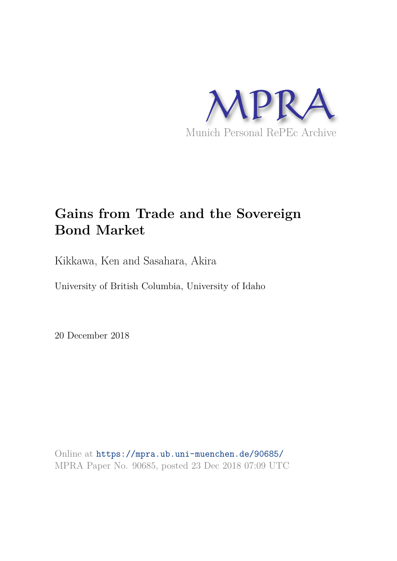

# **Gains from Trade and the Sovereign Bond Market**

Kikkawa, Ken and Sasahara, Akira

University of British Columbia, University of Idaho

20 December 2018

Online at https://mpra.ub.uni-muenchen.de/90685/ MPRA Paper No. 90685, posted 23 Dec 2018 07:09 UTC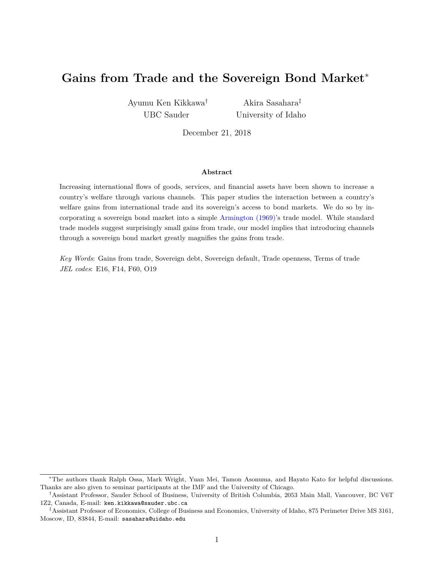# **Gains from Trade and the Sovereign Bond Market**<sup>∗</sup>

Ayumu Ken Kikkawa† UBC Sauder

Akira Sasahara‡ University of Idaho

December 21, 2018

### **Abstract**

Increasing international flows of goods, services, and financial assets have been shown to increase a country's welfare through various channels. This paper studies the interaction between a country's welfare gains from international trade and its sovereign's access to bond markets. We do so by incorporating a sovereign bond market into a simple Armington (1969)'s trade model. While standard trade models suggest surprisingly small gains from trade, our model implies that introducing channels through a sovereign bond market greatly magnifies the gains from trade.

*Key Words*: Gains from trade, Sovereign debt, Sovereign default, Trade openness, Terms of trade *JEL codes*: E16, F14, F60, O19

<sup>∗</sup>The authors thank Ralph Ossa, Mark Wright, Yuan Mei, Tamon Asonuma, and Hayato Kato for helpful discussions. Thanks are also given to seminar participants at the IMF and the University of Chicago.

<sup>†</sup>Assistant Professor, Sauder School of Business, University of British Columbia, 2053 Main Mall, Vancouver, BC V6T 1Z2, Canada, E-mail: ken.kikkawa@sauder.ubc.ca

<sup>‡</sup>Assistant Professor of Economics, College of Business and Economics, University of Idaho, 875 Perimeter Drive MS 3161, Moscow, ID, 83844, E-mail: sasahara@uidaho.edu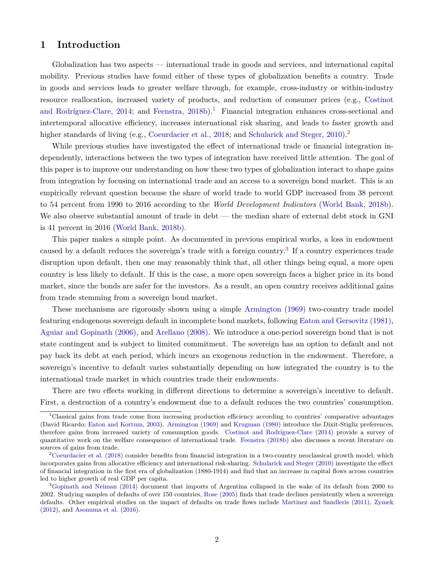# **1 Introduction**

Globalization has two aspects — international trade in goods and services, and international capital mobility. Previous studies have found either of these types of globalization benefits a country. Trade in goods and services leads to greater welfare through, for example, cross-industry or within-industry resource reallocation, increased variety of products, and reduction of consumer prices (e.g., Costinot and Rodríguez-Clare,  $2014$ ; and Feenstra,  $2018b$ ).<sup>1</sup> Financial integration enhances cross-sectional and intertemporal allocative efficiency, increases international risk sharing, and leads to faster growth and higher standards of living (e.g., Coeurdacier et al., 2018; and Schularick and Steger, 2010).<sup>2</sup>

While previous studies have investigated the effect of international trade or financial integration independently, interactions between the two types of integration have received little attention. The goal of this paper is to improve our understanding on how these two types of globalization interact to shape gains from integration by focusing on international trade and an access to a sovereign bond market. This is an empirically relevant question because the share of world trade to world GDP increased from 38 percent to 54 percent from 1990 to 2016 according to the *World Development Indicators* (World Bank, 2018b). We also observe substantial amount of trade in debt — the median share of external debt stock in GNI is 41 percent in 2016 (World Bank, 2018b).

This paper makes a simple point. As documented in previous empirical works, a loss in endowment caused by a default reduces the sovereign's trade with a foreign country.<sup>3</sup> If a country experiences trade disruption upon default, then one may reasonably think that, all other things being equal, a more open country is less likely to default. If this is the case, a more open sovereign faces a higher price in its bond market, since the bonds are safer for the investors. As a result, an open country receives additional gains from trade stemming from a sovereign bond market.

These mechanisms are rigorously shown using a simple Armington (1969) two-country trade model featuring endogenous sovereign default in incomplete bond markets, following Eaton and Gersovitz (1981), Aguiar and Gopinath (2006), and Arellano (2008). We introduce a one-period sovereign bond that is not state contingent and is subject to limited commitment. The sovereign has an option to default and not pay back its debt at each period, which incurs an exogenous reduction in the endowment. Therefore, a sovereign's incentive to default varies substantially depending on how integrated the country is to the international trade market in which countries trade their endowments.

There are two effects working in different directions to determine a sovereign's incentive to default. First, a destruction of a country's endowment due to a default reduces the two countries' consumption.

<sup>1</sup>Classical gains from trade come from increasing production efficiency according to countries' comparative advantages (David Ricardo; Eaton and Kortum, 2003). Armington (1969) and Krugman (1980) introduce the Dixit-Stigliz preferences, therefore gains from increased variety of consumption goods. Costinot and Rodríguez-Clare (2014) provide a survey of quantitative work on the welfare consequence of international trade. Feenstra (2018b) also discusses a recent literature on sources of gains from trade.

 $2$ Coeurdacier et al. (2018) consider benefits from financial integration in a two-country neoclassical growth model, which incorporates gains from allocative efficiency and international risk-sharing. Schularick and Steger (2010) investigate the effect of financial integration in the first era of globalization (1880-1914) and find that an increase in capital flows across countries led to higher growth of real GDP per capita.

<sup>3</sup>Gopinath and Neiman (2014) document that imports of Argentina collapsed in the wake of its default from 2000 to 2002. Studying samples of defaults of over 150 countries, Rose (2005) finds that trade declines persistently when a sovereign defaults. Other empirical studies on the impact of defaults on trade flows include Martinez and Sandleris (2011), Zymek (2012), and Asonuma et al. (2016).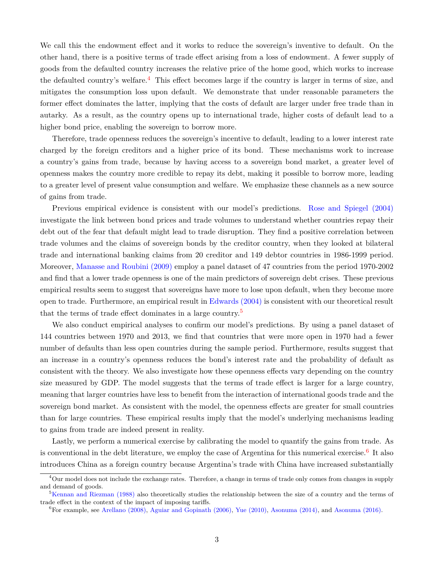We call this the endowment effect and it works to reduce the sovereign's inventive to default. On the other hand, there is a positive terms of trade effect arising from a loss of endowment. A fewer supply of goods from the defaulted country increases the relative price of the home good, which works to increase the defaulted country's welfare.<sup>4</sup> This effect becomes large if the country is larger in terms of size, and mitigates the consumption loss upon default. We demonstrate that under reasonable parameters the former effect dominates the latter, implying that the costs of default are larger under free trade than in autarky. As a result, as the country opens up to international trade, higher costs of default lead to a higher bond price, enabling the sovereign to borrow more.

Therefore, trade openness reduces the sovereign's incentive to default, leading to a lower interest rate charged by the foreign creditors and a higher price of its bond. These mechanisms work to increase a country's gains from trade, because by having access to a sovereign bond market, a greater level of openness makes the country more credible to repay its debt, making it possible to borrow more, leading to a greater level of present value consumption and welfare. We emphasize these channels as a new source of gains from trade.

Previous empirical evidence is consistent with our model's predictions. Rose and Spiegel (2004) investigate the link between bond prices and trade volumes to understand whether countries repay their debt out of the fear that default might lead to trade disruption. They find a positive correlation between trade volumes and the claims of sovereign bonds by the creditor country, when they looked at bilateral trade and international banking claims from 20 creditor and 149 debtor countries in 1986-1999 period. Moreover, Manasse and Roubini (2009) employ a panel dataset of 47 countries from the period 1970-2002 and find that a lower trade openness is one of the main predictors of sovereign debt crises. These previous empirical results seem to suggest that sovereigns have more to lose upon default, when they become more open to trade. Furthermore, an empirical result in Edwards (2004) is consistent with our theoretical result that the terms of trade effect dominates in a large country.<sup>5</sup>

We also conduct empirical analyses to confirm our model's predictions. By using a panel dataset of 144 countries between 1970 and 2013, we find that countries that were more open in 1970 had a fewer number of defaults than less open countries during the sample period. Furthermore, results suggest that an increase in a country's openness reduces the bond's interest rate and the probability of default as consistent with the theory. We also investigate how these openness effects vary depending on the country size measured by GDP. The model suggests that the terms of trade effect is larger for a large country, meaning that larger countries have less to benefit from the interaction of international goods trade and the sovereign bond market. As consistent with the model, the openness effects are greater for small countries than for large countries. These empirical results imply that the model's underlying mechanisms leading to gains from trade are indeed present in reality.

Lastly, we perform a numerical exercise by calibrating the model to quantify the gains from trade. As is conventional in the debt literature, we employ the case of Argentina for this numerical exercise.<sup>6</sup> It also introduces China as a foreign country because Argentina's trade with China have increased substantially

 $4$ Our model does not include the exchange rates. Therefore, a change in terms of trade only comes from changes in supply and demand of goods.

<sup>&</sup>lt;sup>5</sup>Kennan and Riezman (1988) also theoretically studies the relationship between the size of a country and the terms of trade effect in the context of the impact of imposing tariffs.

<sup>6</sup>For example, see Arellano (2008), Aguiar and Gopinath (2006), Yue (2010), Asonuma (2014), and Asonuma (2016).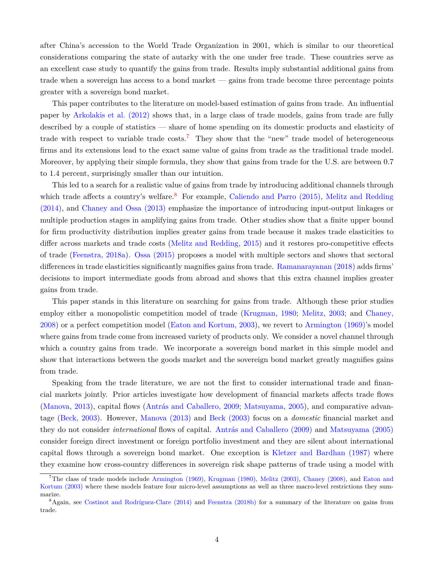after China's accession to the World Trade Organization in 2001, which is similar to our theoretical considerations comparing the state of autarky with the one under free trade. These countries serve as an excellent case study to quantify the gains from trade. Results imply substantial additional gains from trade when a sovereign has access to a bond market — gains from trade become three percentage points greater with a sovereign bond market.

This paper contributes to the literature on model-based estimation of gains from trade. An influential paper by Arkolakis et al. (2012) shows that, in a large class of trade models, gains from trade are fully described by a couple of statistics — share of home spending on its domestic products and elasticity of trade with respect to variable trade costs.<sup>7</sup> They show that the "new" trade model of heterogeneous firms and its extensions lead to the exact same value of gains from trade as the traditional trade model. Moreover, by applying their simple formula, they show that gains from trade for the U.S. are between 0.7 to 1.4 percent, surprisingly smaller than our intuition.

This led to a search for a realistic value of gains from trade by introducing additional channels through which trade affects a country's welfare.<sup>8</sup> For example, Caliendo and Parro  $(2015)$ , Melitz and Redding (2014), and Chaney and Ossa (2013) emphasize the importance of introducing input-output linkages or multiple production stages in amplifying gains from trade. Other studies show that a finite upper bound for firm productivity distribution implies greater gains from trade because it makes trade elasticities to differ across markets and trade costs (Melitz and Redding, 2015) and it restores pro-competitive effects of trade (Feenstra, 2018a). Ossa (2015) proposes a model with multiple sectors and shows that sectoral differences in trade elasticities significantly magnifies gains from trade. Ramanarayanan (2018) adds firms' decisions to import intermediate goods from abroad and shows that this extra channel implies greater gains from trade.

This paper stands in this literature on searching for gains from trade. Although these prior studies employ either a monopolistic competition model of trade (Krugman, 1980; Melitz, 2003; and Chaney, 2008) or a perfect competition model (Eaton and Kortum, 2003), we revert to Armington (1969)'s model where gains from trade come from increased variety of products only. We consider a novel channel through which a country gains from trade. We incorporate a sovereign bond market in this simple model and show that interactions between the goods market and the sovereign bond market greatly magnifies gains from trade.

Speaking from the trade literature, we are not the first to consider international trade and financial markets jointly. Prior articles investigate how development of financial markets affects trade flows (Manova, 2013), capital flows (Antrás and Caballero, 2009; Matsuyama, 2005), and comparative advantage (Beck, 2003). However, Manova (2013) and Beck (2003) focus on a *domestic* financial market and they do not consider *international* flows of capital. Antrás and Caballero (2009) and Matsuyama (2005) consider foreign direct investment or foreign portfolio investment and they are silent about international capital flows through a sovereign bond market. One exception is Kletzer and Bardhan (1987) where they examine how cross-country differences in sovereign risk shape patterns of trade using a model with

<sup>7</sup>The class of trade models include Armington (1969), Krugman (1980), Melitz (2003), Chaney (2008), and Eaton and Kortum (2003) where these models feature four micro-level assumptions as well as three macro-level restrictions they summarize.

<sup>8</sup>Again, see Costinot and Rodríguez-Clare (2014) and Feenstra (2018b) for a summary of the literature on gains from trade.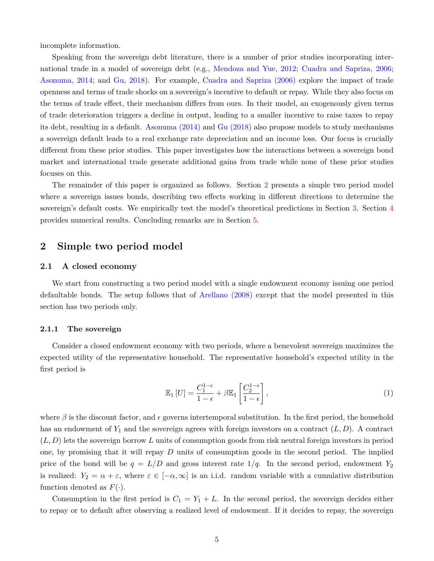incomplete information.

Speaking from the sovereign debt literature, there is a number of prior studies incorporating international trade in a model of sovereign debt (e.g., Mendoza and Yue, 2012; Cuadra and Sapriza, 2006; Asonuma, 2014; and Gu, 2018). For example, Cuadra and Sapriza (2006) explore the impact of trade openness and terms of trade shocks on a sovereign's incentive to default or repay. While they also focus on the terms of trade effect, their mechanism differs from ours. In their model, an exogenously given terms of trade deterioration triggers a decline in output, leading to a smaller incentive to raise taxes to repay its debt, resulting in a default. Asonuma (2014) and Gu (2018) also propose models to study mechanisms a sovereign default leads to a real exchange rate depreciation and an income loss. Our focus is crucially different from these prior studies. This paper investigates how the interactions between a sovereign bond market and international trade generate additional gains from trade while none of these prior studies focuses on this.

The remainder of this paper is organized as follows. Section 2 presents a simple two period model where a sovereign issues bonds, describing two effects working in different directions to determine the sovereign's default costs. We empirically test the model's theoretical predictions in Section 3. Section 4 provides numerical results. Concluding remarks are in Section 5.

# **2 Simple two period model**

### **2.1 A closed economy**

We start from constructing a two period model with a single endowment economy issuing one period defaultable bonds. The setup follows that of Arellano (2008) except that the model presented in this section has two periods only.

#### **2.1.1 The sovereign**

Consider a closed endowment economy with two periods, where a benevolent sovereign maximizes the expected utility of the representative household. The representative household's expected utility in the first period is

$$
\mathbb{E}_1\left[U\right] = \frac{C_1^{1-\epsilon}}{1-\epsilon} + \beta \mathbb{E}_1\left[\frac{C_2^{1-\epsilon}}{1-\epsilon}\right],\tag{1}
$$

where  $\beta$  is the discount factor, and  $\epsilon$  governs intertemporal substitution. In the first period, the household has an endowment of  $Y_1$  and the sovereign agrees with foreign investors on a contract  $(L, D)$ . A contract (*L, D*) lets the sovereign borrow *L* units of consumption goods from risk neutral foreign investors in period one, by promising that it will repay *D* units of consumption goods in the second period. The implied price of the bond will be  $q = L/D$  and gross interest rate  $1/q$ . In the second period, endowment  $Y_2$ is realized:  $Y_2 = \alpha + \varepsilon$ , where  $\varepsilon \in [-\alpha, \infty]$  is an i.i.d. random variable with a cumulative distribution function denoted as  $F(\cdot)$ .

Consumption in the first period is  $C_1 = Y_1 + L$ . In the second period, the sovereign decides either to repay or to default after observing a realized level of endowment. If it decides to repay, the sovereign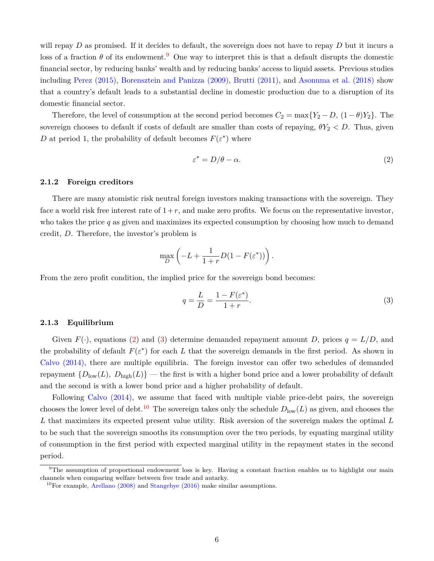will repay *D* as promised. If it decides to default, the sovereign does not have to repay *D* but it incurs a loss of a fraction  $\theta$  of its endowment.<sup>9</sup> One way to interpret this is that a default disrupts the domestic financial sector, by reducing banks' wealth and by reducing banks' access to liquid assets. Previous studies including Perez (2015), Borensztein and Panizza (2009), Brutti (2011), and Asonuma et al. (2018) show that a country's default leads to a substantial decline in domestic production due to a disruption of its domestic financial sector.

Therefore, the level of consumption at the second period becomes  $C_2 = \max\{Y_2 - D, (1 - \theta)Y_2\}$ . The sovereign chooses to default if costs of default are smaller than costs of repaying,  $\theta Y_2 < D$ . Thus, given *D* at period 1, the probability of default becomes  $F(\varepsilon^*)$  where

$$
\varepsilon^* = D/\theta - \alpha. \tag{2}
$$

#### **2.1.2 Foreign creditors**

There are many atomistic risk neutral foreign investors making transactions with the sovereign. They face a world risk free interest rate of  $1+r$ , and make zero profits. We focus on the representative investor, who takes the price *q* as given and maximizes its expected consumption by choosing how much to demand credit, *D*. Therefore, the investor's problem is

$$
\max_{D} \left( -L + \frac{1}{1+r} D(1 - F(\varepsilon^*)) \right).
$$

From the zero profit condition, the implied price for the sovereign bond becomes:

$$
q = \frac{L}{D} = \frac{1 - F(\varepsilon^*)}{1 + r}.
$$
\n(3)

#### **2.1.3 Equilibrium**

Given  $F(\cdot)$ , equations (2) and (3) determine demanded repayment amount *D*, prices  $q = L/D$ , and the probability of default  $F(\varepsilon^*)$  for each *L* that the sovereign demands in the first period. As shown in Calvo (2014), there are multiple equilibria. The foreign investor can offer two schedules of demanded repayment  ${D_{\text{low}}(L), D_{\text{high}}(L)}$  — the first is with a higher bond price and a lower probability of default and the second is with a lower bond price and a higher probability of default.

Following Calvo (2014), we assume that faced with multiple viable price-debt pairs, the sovereign chooses the lower level of debt.<sup>10</sup> The sovereign takes only the schedule  $D_{\text{low}}(L)$  as given, and chooses the *L* that maximizes its expected present value utility. Risk aversion of the sovereign makes the optimal *L* to be such that the sovereign smooths its consumption over the two periods, by equating marginal utility of consumption in the first period with expected marginal utility in the repayment states in the second period.

<sup>&</sup>lt;sup>9</sup>The assumption of proportional endowment loss is key. Having a constant fraction enables us to highlight our main channels when comparing welfare between free trade and autarky.

<sup>&</sup>lt;sup>10</sup>For example, Arellano (2008) and Stangebye (2016) make similar assumptions.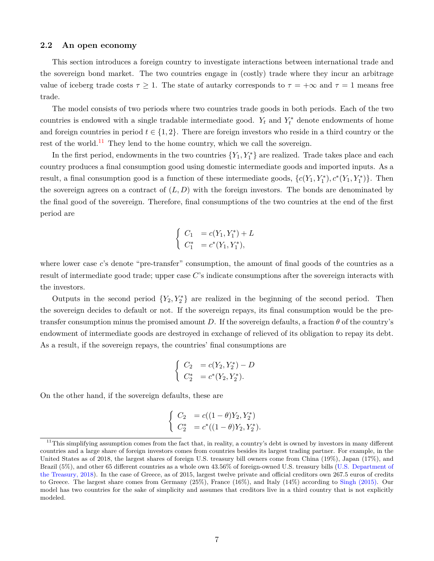#### **2.2 An open economy**

This section introduces a foreign country to investigate interactions between international trade and the sovereign bond market. The two countries engage in (costly) trade where they incur an arbitrage value of iceberg trade costs  $\tau \geq 1$ . The state of autarky corresponds to  $\tau = +\infty$  and  $\tau = 1$  means free trade.

The model consists of two periods where two countries trade goods in both periods. Each of the two countries is endowed with a single tradable intermediate good.  $Y_t$  and  $Y_t^*$  denote endowments of home and foreign countries in period  $t \in \{1, 2\}$ . There are foreign investors who reside in a third country or the rest of the world.<sup>11</sup> They lend to the home country, which we call the sovereign.

In the first period, endowments in the two countries  ${Y_1, Y_1^*}$  are realized. Trade takes place and each country produces a final consumption good using domestic intermediate goods and imported inputs. As a result, a final consumption good is a function of these intermediate goods,  $\{c(Y_1, Y_1^*), c^*(Y_1, Y_1^*)\}$ . Then the sovereign agrees on a contract of  $(L, D)$  with the foreign investors. The bonds are denominated by the final good of the sovereign. Therefore, final consumptions of the two countries at the end of the first period are

$$
\begin{cases}\nC_1 &= c(Y_1, Y_1^*) + L \\
C_1^* &= c^*(Y_1, Y_1^*),\n\end{cases}
$$

where lower case *c*'s denote "pre-transfer" consumption, the amount of final goods of the countries as a result of intermediate good trade; upper case *C*'s indicate consumptions after the sovereign interacts with the investors.

Outputs in the second period  ${Y_2, Y_2^*}$  are realized in the beginning of the second period. Then the sovereign decides to default or not. If the sovereign repays, its final consumption would be the pretransfer consumption minus the promised amount *D*. If the sovereign defaults, a fraction  $\theta$  of the country's endowment of intermediate goods are destroyed in exchange of relieved of its obligation to repay its debt. As a result, if the sovereign repays, the countries' final consumptions are

$$
\begin{cases}\nC_2 = c(Y_2, Y_2^*) - D \\
C_2^* = c^*(Y_2, Y_2^*).\n\end{cases}
$$

On the other hand, if the sovereign defaults, these are

$$
\begin{cases}\nC_2 = c((1 - \theta)Y_2, Y_2^*) \\
C_2^* = c^*((1 - \theta)Y_2, Y_2^*).\n\end{cases}
$$

 $11$ This simplifying assumption comes from the fact that, in reality, a country's debt is owned by investors in many different countries and a large share of foreign investors comes from countries besides its largest trading partner. For example, in the United States as of 2018, the largest shares of foreign U.S. treasury bill owners come from China (19%), Japan (17%), and Brazil (5%), and other 65 different countries as a whole own 43.56% of foreign-owned U.S. treasury bills (U.S. Department of the Treasury, 2018). In the case of Greece, as of 2015, largest twelve private and official creditors own 267.5 euros of credits to Greece. The largest share comes from Germany (25%), France (16%), and Italy (14%) according to Singh (2015). Our model has two countries for the sake of simplicity and assumes that creditors live in a third country that is not explicitly modeled.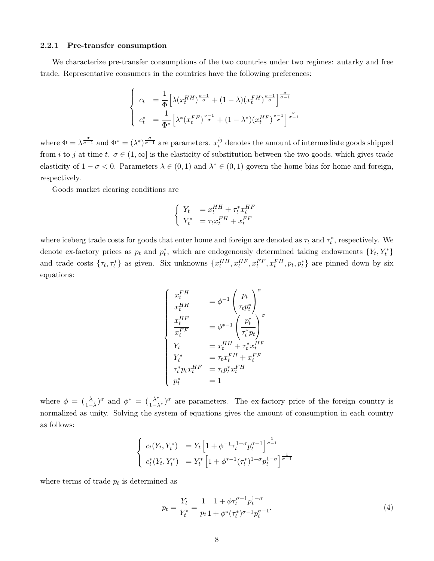#### **2.2.1 Pre-transfer consumption**

We characterize pre-transfer consumptions of the two countries under two regimes: autarky and free trade. Representative consumers in the countries have the following preferences:

$$
\begin{cases}\nc_t = \frac{1}{\Phi} \left[ \lambda (x_t^{HH})^{\frac{\sigma-1}{\sigma}} + (1 - \lambda) (x_t^{FH})^{\frac{\sigma-1}{\sigma}} \right]^{\frac{\sigma}{\sigma-1}} \\
c_t^* = \frac{1}{\Phi^*} \left[ \lambda^* (x_t^{FF})^{\frac{\sigma-1}{\sigma}} + (1 - \lambda^*) (x_t^{HF})^{\frac{\sigma-1}{\sigma}} \right]^{\frac{\sigma}{\sigma-1}}\n\end{cases}
$$

where  $\Phi = \lambda^{\frac{\sigma}{\sigma-1}}$  and  $\Phi^* = (\lambda^*)^{\frac{\sigma}{\sigma-1}}$  are parameters.  $x_t^{ij}$  denotes the amount of intermediate goods shipped from *i* to *j* at time *t*.  $\sigma \in (1, \infty]$  is the elasticity of substitution between the two goods, which gives trade elasticity of  $1 - \sigma < 0$ . Parameters  $\lambda \in (0,1)$  and  $\lambda^* \in (0,1)$  govern the home bias for home and foreign, respectively.

Goods market clearing conditions are

$$
\left\{ \begin{array}{ll} Y_t &= x_t^{HH} + \tau_t^* x_t^{HF} \\ Y_t^* &= \tau_t x_t^{FH} + x_t^{FF} \end{array} \right.
$$

where iceberg trade costs for goods that enter home and foreign are denoted as  $\tau_t$  and  $\tau_t^*$ , respectively. We denote ex-factory prices as  $p_t$  and  $p_t^*$ , which are endogenously determined taking endowments  $\{Y_t, Y_t^*\}$ and trade costs  $\{\tau_t, \tau_t^*\}$  as given. Six unknowns  $\{x_t^{HH}, x_t^{HF}, x_t^{FF}, x_t^{FH}, p_t, p_t^*\}$  are pinned down by six equations:

$$
\begin{cases}\n\frac{x_t^{FH}}{x_t^{HH}} = \phi^{-1} \left( \frac{p_t}{\tau_t p_t^*} \right)^{\sigma} \\
\frac{x_t^{HF}}{x_t^{FF}} = \phi^{*-1} \left( \frac{p_t^*}{\tau_t^* p_t} \right)^{\sigma} \\
Y_t = x_t^{HH} + \tau_t^* x_t^{HF} \\
Y_t^* = \tau_t x_t^{FH} + x_t^{FF} \\
\tau_t^* p_t x_t^{HF} = \tau_t p_t^* x_t^{FH} \\
p_t^* = 1\n\end{cases}
$$

where  $\phi = (\frac{\lambda}{1-\lambda})^{\sigma}$  and  $\phi^* = (\frac{\lambda^*}{1-\lambda^*})^{\sigma}$  are parameters. The ex-factory price of the foreign country is normalized as unity. Solving the system of equations gives the amount of consumption in each country as follows:

$$
\begin{cases}\nc_t(Y_t, Y_t^*) = Y_t \left[1 + \phi^{-1} \tau_t^{1-\sigma} p_t^{\sigma-1}\right]^{\frac{1}{\sigma-1}} \\
c_t^*(Y_t, Y_t^*) = Y_t^* \left[1 + \phi^{*-1} (\tau_t^*)^{1-\sigma} p_t^{1-\sigma}\right]^{\frac{1}{\sigma-1}}\n\end{cases}
$$

where terms of trade  $p_t$  is determined as

$$
p_t = \frac{Y_t}{Y_t^*} = \frac{1}{p_t} \frac{1 + \phi \tau_t^{\sigma - 1} p_t^{1 - \sigma}}{1 + \phi^* (\tau_t^*)^{\sigma - 1} p_t^{\sigma - 1}}.
$$
\n<sup>(4)</sup>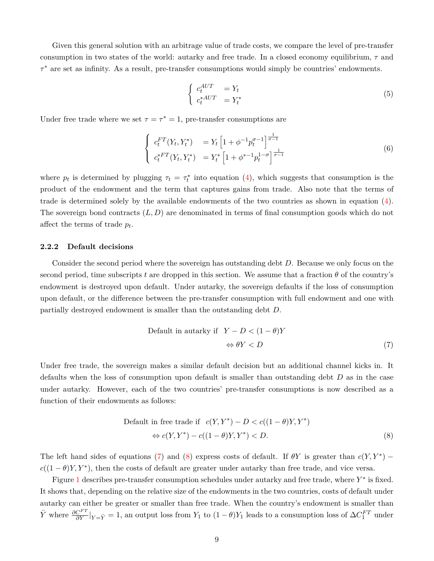Given this general solution with an arbitrage value of trade costs, we compare the level of pre-transfer consumption in two states of the world: autarky and free trade. In a closed economy equilibrium, *τ* and *τ* <sup>∗</sup> are set as infinity. As a result, pre-transfer consumptions would simply be countries' endowments.

$$
\begin{cases}\nc_t^{AUT} &= Y_t \\
c_t^{*AUT} &= Y_t^*\n\end{cases} \tag{5}
$$

Under free trade where we set  $\tau = \tau^* = 1$ , pre-transfer consumptions are

$$
\begin{cases}\nc_t^{FT}(Y_t, Y_t^*) = Y_t \left[1 + \phi^{-1} p_t^{\sigma-1}\right]^{\frac{1}{\sigma-1}} \\
c_t^{*FT}(Y_t, Y_t^*) = Y_t^* \left[1 + \phi^{*-1} p_t^{1-\sigma}\right]^{\frac{1}{\sigma-1}}\n\end{cases} \tag{6}
$$

where  $p_t$  is determined by plugging  $\tau_t = \tau_t^*$  into equation (4), which suggests that consumption is the product of the endowment and the term that captures gains from trade. Also note that the terms of trade is determined solely by the available endowments of the two countries as shown in equation (4). The sovereign bond contracts  $(L, D)$  are denominated in terms of final consumption goods which do not affect the terms of trade *p<sup>t</sup>* .

## **2.2.2 Default decisions**

Consider the second period where the sovereign has outstanding debt *D*. Because we only focus on the second period, time subscripts *t* are dropped in this section. We assume that a fraction  $\theta$  of the country's endowment is destroyed upon default. Under autarky, the sovereign defaults if the loss of consumption upon default, or the difference between the pre-transfer consumption with full endowment and one with partially destroyed endowment is smaller than the outstanding debt *D*.

$$
\begin{aligned} \text{Default in autarky if} \quad Y - D < (1 - \theta)Y \\ &\Leftrightarrow \theta Y < D \end{aligned} \tag{7}
$$

Under free trade, the sovereign makes a similar default decision but an additional channel kicks in. It defaults when the loss of consumption upon default is smaller than outstanding debt *D* as in the case under autarky. However, each of the two countries' pre-transfer consumptions is now described as a function of their endowments as follows:

$$
\text{Default in free trade if } c(Y, Y^*) - D < c((1 - \theta)Y, Y^*)
$$
\n
$$
\Leftrightarrow c(Y, Y^*) - c((1 - \theta)Y, Y^*) < D. \tag{8}
$$

The left hand sides of equations (7) and (8) express costs of default. If  $\theta Y$  is greater than  $c(Y, Y^*)$  –  $c((1 - \theta)Y, Y^*)$ , then the costs of default are greater under autarky than free trade, and vice versa.

Figure 1 describes pre-transfer consumption schedules under autarky and free trade, where *Y* ∗ is fixed. It shows that, depending on the relative size of the endowments in the two countries, costs of default under autarky can either be greater or smaller than free trade. When the country's endowment is smaller than  $\bar{Y}$  where  $\frac{\partial C^{FT}}{\partial Y}|_{Y=\bar{Y}}=1$ , an output loss from  $Y_1$  to  $(1-\theta)Y_1$  leads to a consumption loss of  $\Delta C_1^{FT}$  under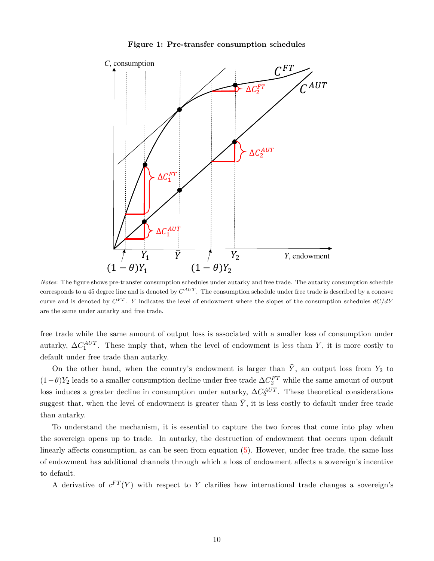



*Notes*: The figure shows pre-transfer consumption schedules under autarky and free trade. The autarky consumption schedule corresponds to a 45 degree line and is denoted by *C AUT* . The consumption schedule under free trade is described by a concave curve and is denoted by  $C^{FT}$ .  $\bar{Y}$  indicates the level of endowment where the slopes of the consumption schedules  $dC/dY$ are the same under autarky and free trade.

free trade while the same amount of output loss is associated with a smaller loss of consumption under autarky,  $\Delta C_1^{AUT}$ . These imply that, when the level of endowment is less than  $\bar{Y}$ , it is more costly to default under free trade than autarky.

On the other hand, when the country's endowment is larger than  $\overline{Y}$ , an output loss from  $Y_2$  to  $(1-\theta)Y_2$  leads to a smaller consumption decline under free trade  $\Delta C_2^{FT}$  while the same amount of output loss induces a greater decline in consumption under autarky,  $\Delta C_2^{AUT}$ . These theoretical considerations suggest that, when the level of endowment is greater than  $\bar{Y}$ , it is less costly to default under free trade than autarky.

To understand the mechanism, it is essential to capture the two forces that come into play when the sovereign opens up to trade. In autarky, the destruction of endowment that occurs upon default linearly affects consumption, as can be seen from equation (5). However, under free trade, the same loss of endowment has additional channels through which a loss of endowment affects a sovereign's incentive to default.

A derivative of  $c^{FT}(Y)$  with respect to Y clarifies how international trade changes a sovereign's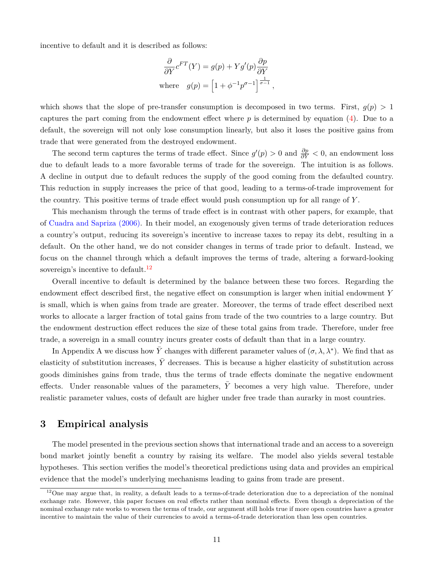incentive to default and it is described as follows:

$$
\frac{\partial}{\partial Y} c^{FT}(Y) = g(p) + Yg'(p)\frac{\partial p}{\partial Y}
$$
  
where  $g(p) = \left[1 + \phi^{-1}p^{\sigma-1}\right]^{\frac{1}{\sigma-1}},$ 

which shows that the slope of pre-transfer consumption is decomposed in two terms. First,  $q(p) > 1$ captures the part coming from the endowment effect where  $p$  is determined by equation  $(4)$ . Due to a default, the sovereign will not only lose consumption linearly, but also it loses the positive gains from trade that were generated from the destroyed endowment.

The second term captures the terms of trade effect. Since  $g'(p) > 0$  and  $\frac{\partial p}{\partial Y} < 0$ , an endowment loss due to default leads to a more favorable terms of trade for the sovereign. The intuition is as follows. A decline in output due to default reduces the supply of the good coming from the defaulted country. This reduction in supply increases the price of that good, leading to a terms-of-trade improvement for the country. This positive terms of trade effect would push consumption up for all range of *Y* .

This mechanism through the terms of trade effect is in contrast with other papers, for example, that of Cuadra and Sapriza (2006). In their model, an exogenously given terms of trade deterioration reduces a country's output, reducing its sovereign's incentive to increase taxes to repay its debt, resulting in a default. On the other hand, we do not consider changes in terms of trade prior to default. Instead, we focus on the channel through which a default improves the terms of trade, altering a forward-looking sovereign's incentive to default.<sup>12</sup>

Overall incentive to default is determined by the balance between these two forces. Regarding the endowment effect described first, the negative effect on consumption is larger when initial endowment *Y* is small, which is when gains from trade are greater. Moreover, the terms of trade effect described next works to allocate a larger fraction of total gains from trade of the two countries to a large country. But the endowment destruction effect reduces the size of these total gains from trade. Therefore, under free trade, a sovereign in a small country incurs greater costs of default than that in a large country.

In Appendix A we discuss how  $\bar{Y}$  changes with different parameter values of  $(\sigma, \lambda, \lambda^*)$ . We find that as elasticity of substitution increases,  $\bar{Y}$  decreases. This is because a higher elasticity of substitution across goods diminishes gains from trade, thus the terms of trade effects dominate the negative endowment effects. Under reasonable values of the parameters,  $\overline{Y}$  becomes a very high value. Therefore, under realistic parameter values, costs of default are higher under free trade than aurarky in most countries.

# **3 Empirical analysis**

The model presented in the previous section shows that international trade and an access to a sovereign bond market jointly benefit a country by raising its welfare. The model also yields several testable hypotheses. This section verifies the model's theoretical predictions using data and provides an empirical evidence that the model's underlying mechanisms leading to gains from trade are present.

 $12$ One may argue that, in reality, a default leads to a terms-of-trade deterioration due to a depreciation of the nominal exchange rate. However, this paper focuses on real effects rather than nominal effects. Even though a depreciation of the nominal exchange rate works to worsen the terms of trade, our argument still holds true if more open countries have a greater incentive to maintain the value of their currencies to avoid a terms-of-trade deterioration than less open countries.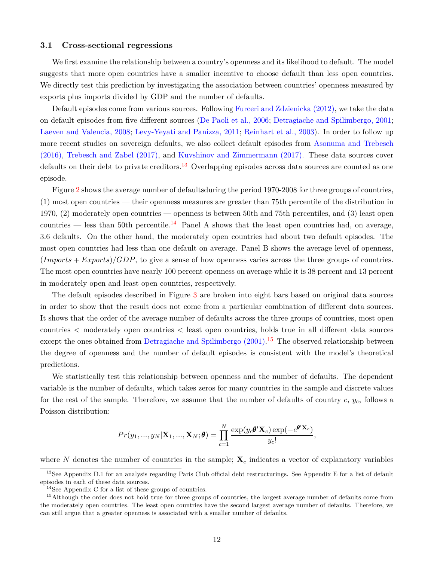## **3.1 Cross-sectional regressions**

We first examine the relationship between a country's openness and its likelihood to default. The model suggests that more open countries have a smaller incentive to choose default than less open countries. We directly test this prediction by investigating the association between countries' openness measured by exports plus imports divided by GDP and the number of defaults.

Default episodes come from various sources. Following Furceri and Zdzienicka (2012), we take the data on default episodes from five different sources (De Paoli et al., 2006; Detragiache and Spilimbergo, 2001; Laeven and Valencia, 2008; Levy-Yeyati and Panizza, 2011; Reinhart et al., 2003). In order to follow up more recent studies on sovereign defaults, we also collect default episodes from Asonuma and Trebesch (2016), Trebesch and Zabel (2017), and Kuvshinov and Zimmermann (2017). These data sources cover defaults on their debt to private creditors.<sup>13</sup> Overlapping episodes across data sources are counted as one episode.

Figure 2 shows the average number of defaultsduring the period 1970-2008 for three groups of countries, (1) most open countries — their openness measures are greater than 75th percentile of the distribution in 1970, (2) moderately open countries — openness is between 50th and 75th percentiles, and (3) least open countries — less than 50th percentile.<sup>14</sup> Panel A shows that the least open countries had, on average, 3.6 defaults. On the other hand, the moderately open countries had about two default episodes. The most open countries had less than one default on average. Panel B shows the average level of openness, (*Imports* + *Exports*)*/GDP*, to give a sense of how openness varies across the three groups of countries. The most open countries have nearly 100 percent openness on average while it is 38 percent and 13 percent in moderately open and least open countries, respectively.

The default episodes described in Figure 3 are broken into eight bars based on original data sources in order to show that the result does not come from a particular combination of different data sources. It shows that the order of the average number of defaults across the three groups of countries, most open countries < moderately open countries < least open countries, holds true in all different data sources except the ones obtained from Detragiache and Spilimbergo (2001).<sup>15</sup> The observed relationship between the degree of openness and the number of default episodes is consistent with the model's theoretical predictions.

We statistically test this relationship between openness and the number of defaults. The dependent variable is the number of defaults, which takes zeros for many countries in the sample and discrete values for the rest of the sample. Therefore, we assume that the number of defaults of country *c*, *yc*, follows a Poisson distribution:

$$
Pr(y_1, ..., y_N | \mathbf{X}_1, ..., \mathbf{X}_N; \boldsymbol{\theta}) = \prod_{c=1}^N \frac{\exp(y_c \boldsymbol{\theta}' \mathbf{X}_c) \exp(-e^{\boldsymbol{\theta}' \mathbf{X}_c})}{y_c!},
$$

where  $N$  denotes the number of countries in the sample;  $\mathbf{X}_c$  indicates a vector of explanatory variables

<sup>&</sup>lt;sup>13</sup>See Appendix D.1 for an analysis regarding Paris Club official debt restructurings. See Appendix E for a list of default episodes in each of these data sources.

<sup>14</sup>See Appendix C for a list of these groups of countries.

<sup>&</sup>lt;sup>15</sup>Although the order does not hold true for three groups of countries, the largest average number of defaults come from the moderately open countries. The least open countries have the second largest average number of defaults. Therefore, we can still argue that a greater openness is associated with a smaller number of defaults.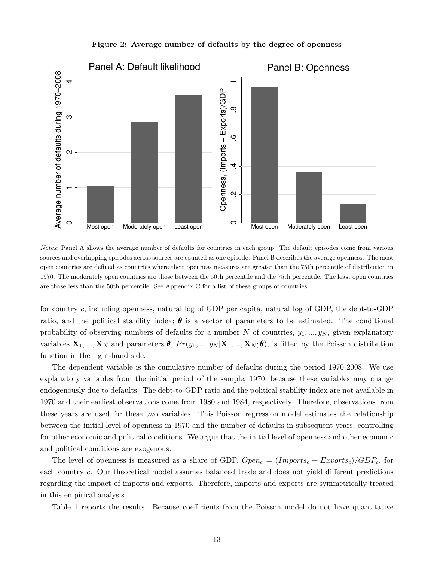

**Figure 2: Average number of defaults by the degree of openness**

*Notes*: Panel A shows the average number of defaults for countries in each group. The default episodes come from various sources and overlapping episodes across sources are counted as one episode. Panel B describes the average openness. The most open countries are defined as countries where their openness measures are greater than the 75th percentile of distribution in 1970. The moderately open countries are those between the 50th percentile and the 75th percentile. The least open countries are those less than the 50th percentile. See Appendix C for a list of these groups of countries.

for country *c*, including openness, natural log of GDP per capita, natural log of GDP, the debt-to-GDP ratio, and the political stability index;  $\theta$  is a vector of parameters to be estimated. The conditional probability of observing numbers of defaults for a number *N* of countries, *y*1*, ..., y<sup>N</sup>* , given explanatory variables  $\mathbf{X}_1, ..., \mathbf{X}_N$  and parameters  $\boldsymbol{\theta}, Pr(y_1, ..., y_N | \mathbf{X}_1, ..., \mathbf{X}_N; \boldsymbol{\theta})$ , is fitted by the Poisson distribution function in the right-hand side.

The dependent variable is the cumulative number of defaults during the period 1970-2008. We use explanatory variables from the initial period of the sample, 1970, because these variables may change endogenously due to defaults. The debt-to-GDP ratio and the political stability index are not available in 1970 and their earliest observations come from 1980 and 1984, respectively. Therefore, observations from these years are used for these two variables. This Poisson regression model estimates the relationship between the initial level of openness in 1970 and the number of defaults in subsequent years, controlling for other economic and political conditions. We argue that the initial level of openness and other economic and political conditions are exogenous.

The level of openness is measured as a share of GDP,  $Open_c = (Imports_c + Exports_c)/GDP_c$ , for each country *c*. Our theoretical model assumes balanced trade and does not yield different predictions regarding the impact of imports and exports. Therefore, imports and exports are symmetrically treated in this empirical analysis.

Table 1 reports the results. Because coefficients from the Poisson model do not have quantitative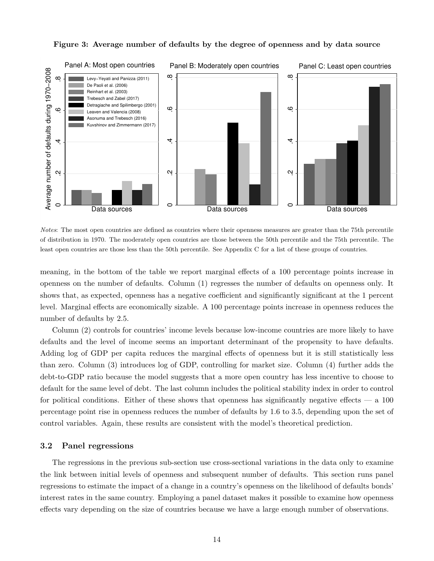

# **Figure 3: Average number of defaults by the degree of openness and by data source**

*Notes*: The most open countries are defined as countries where their openness measures are greater than the 75th percentile of distribution in 1970. The moderately open countries are those between the 50th percentile and the 75th percentile. The least open countries are those less than the 50th percentile. See Appendix C for a list of these groups of countries.

meaning, in the bottom of the table we report marginal effects of a 100 percentage points increase in openness on the number of defaults. Column (1) regresses the number of defaults on openness only. It shows that, as expected, openness has a negative coefficient and significantly significant at the 1 percent level. Marginal effects are economically sizable. A 100 percentage points increase in openness reduces the number of defaults by 2.5.

Column (2) controls for countries' income levels because low-income countries are more likely to have defaults and the level of income seems an important determinant of the propensity to have defaults. Adding log of GDP per capita reduces the marginal effects of openness but it is still statistically less than zero. Column (3) introduces log of GDP, controlling for market size. Column (4) further adds the debt-to-GDP ratio because the model suggests that a more open country has less incentive to choose to default for the same level of debt. The last column includes the political stability index in order to control for political conditions. Either of these shows that openness has significantly negative effects — a 100 percentage point rise in openness reduces the number of defaults by 1.6 to 3.5, depending upon the set of control variables. Again, these results are consistent with the model's theoretical prediction.

## **3.2 Panel regressions**

The regressions in the previous sub-section use cross-sectional variations in the data only to examine the link between initial levels of openness and subsequent number of defaults. This section runs panel regressions to estimate the impact of a change in a country's openness on the likelihood of defaults bonds' interest rates in the same country. Employing a panel dataset makes it possible to examine how openness effects vary depending on the size of countries because we have a large enough number of observations.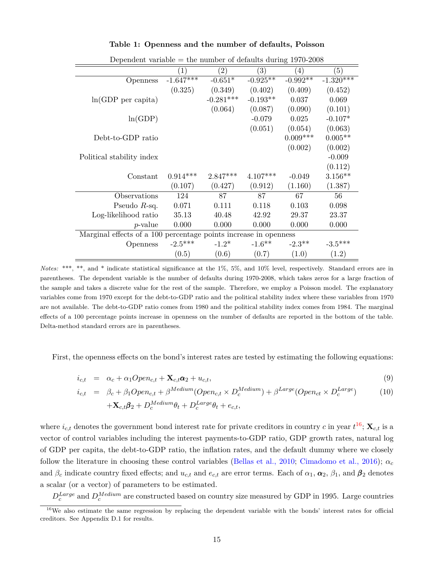|                                                                  |             | $\frac{1}{2}$     |            | $-0.0$     |             |
|------------------------------------------------------------------|-------------|-------------------|------------|------------|-------------|
|                                                                  |             | $\left( 2\right)$ | (3)        | (4)        | (5)         |
| <i>Openness</i>                                                  | $-1.647***$ | $-0.651*$         | $-0.925**$ | $-0.992**$ | $-1.320***$ |
|                                                                  | (0.325)     | (0.349)           | (0.402)    | (0.409)    | (0.452)     |
| $ln(GDP$ per capita)                                             |             | $-0.281***$       | $-0.193**$ | 0.037      | 0.069       |
|                                                                  |             | (0.064)           | (0.087)    | (0.090)    | (0.101)     |
| ln(GDP)                                                          |             |                   | $-0.079$   | 0.025      | $-0.107*$   |
|                                                                  |             |                   | (0.051)    | (0.054)    | (0.063)     |
| Debt-to-GDP ratio                                                |             |                   |            | $0.009***$ | $0.005**$   |
|                                                                  |             |                   |            | (0.002)    | (0.002)     |
| Political stability index                                        |             |                   |            |            | $-0.009$    |
|                                                                  |             |                   |            |            | (0.112)     |
| Constant                                                         | $0.914***$  | $2.847***$        | $4.107***$ | $-0.049$   | $3.156**$   |
|                                                                  | (0.107)     | (0.427)           | (0.912)    | (1.160)    | (1.387)     |
| Observations                                                     | 124         | 87                | 87         | 67         | 56          |
| Pseudo $R$ -sq.                                                  | 0.071       | 0.111             | 0.118      | 0.103      | 0.098       |
| Log-likelihood ratio                                             | 35.13       | 40.48             | 42.92      | 29.37      | 23.37       |
| $p$ -value                                                       | 0.000       | 0.000             | 0.000      | 0.000      | 0.000       |
| Marginal effects of a 100 percentage points increase in openness |             |                   |            |            |             |
| <i><b>Openness</b></i>                                           | $-2.5***$   | $-1.2*$           | $-1.6$ **  | $-2.3**$   | $-3.5***$   |
|                                                                  | (0.5)       | (0.6)             | (0.7)      | (1.0)      | (1.2)       |

**Table 1: Openness and the number of defaults, Poisson**

Dependent variable  $=$  the number of defaults during 1970-2008

*Notes:* \*\*\*, \*\*, and \* indicate statistical significance at the 1%, 5%, and 10% level, respectively. Standard errors are in parentheses. The dependent variable is the number of defaults during 1970-2008, which takes zeros for a large fraction of the sample and takes a discrete value for the rest of the sample. Therefore, we employ a Poisson model. The explanatory variables come from 1970 except for the debt-to-GDP ratio and the political stability index where these variables from 1970 are not available. The debt-to-GDP ratio comes from 1980 and the political stability index comes from 1984. The marginal effects of a 100 percentage points increase in openness on the number of defaults are reported in the bottom of the table. Delta-method standard errors are in parentheses.

First, the openness effects on the bond's interest rates are tested by estimating the following equations:

$$
i_{c,t} = \alpha_c + \alpha_1 Open_{c,t} + \mathbf{X}_{c,t}\alpha_2 + u_{c,t},
$$
\n(9)

$$
i_{c,t} = \beta_c + \beta_1 Open_{c,t} + \beta^{Median} (Open_{c,t} \times D_c^{Median}) + \beta^{Large} (Open_{ct} \times D_c^{Large})
$$
  
+
$$
\mathbf{X}_{c,t} \boldsymbol{\beta}_2 + D_c^{Median} \boldsymbol{\theta}_t + D_c^{Large} \boldsymbol{\theta}_t + e_{c,t},
$$
 (10)

where  $i_{c,t}$  denotes the government bond interest rate for private creditors in country *c* in year  $t^{16}$ ;  $\mathbf{X}_{c,t}$  is a vector of control variables including the interest payments-to-GDP ratio, GDP growth rates, natural log of GDP per capita, the debt-to-GDP ratio, the inflation rates, and the default dummy where we closely follow the literature in choosing these control variables (Bellas et al., 2010; Cimadomo et al., 2016); *α<sup>c</sup>* and  $\beta_c$  indicate country fixed effects; and  $u_{c,t}$  and  $e_{c,t}$  are error terms. Each of  $\alpha_1, \alpha_2, \beta_1$ , and  $\beta_2$  denotes a scalar (or a vector) of parameters to be estimated.

 $D_c^{Large}$  and  $D_c^{Medium}$  are constructed based on country size measured by GDP in 1995. Large countries

 $16$ We also estimate the same regression by replacing the dependent variable with the bonds' interest rates for official creditors. See Appendix D.1 for results.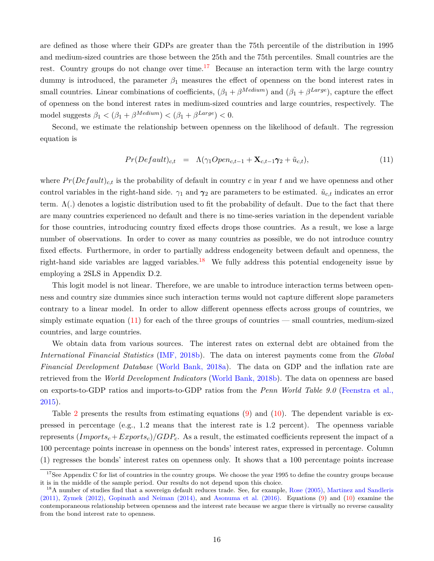are defined as those where their GDPs are greater than the 75th percentile of the distribution in 1995 and medium-sized countries are those between the 25th and the 75th percentiles. Small countries are the rest. Country groups do not change over time.<sup>17</sup> Because an interaction term with the large country dummy is introduced, the parameter  $\beta_1$  measures the effect of openness on the bond interest rates in small countries. Linear combinations of coefficients,  $(\beta_1 + \beta^{Median})$  and  $(\beta_1 + \beta^{Large})$ , capture the effect of openness on the bond interest rates in medium-sized countries and large countries, respectively. The model suggests  $\beta_1 < (\beta_1 + \beta^{Median}) < (\beta_1 + \beta^{Large}) < 0.$ 

Second, we estimate the relationship between openness on the likelihood of default. The regression equation is

$$
Pr(Default)_{c,t} = \Lambda(\gamma_1 Open_{c,t-1} + \mathbf{X}_{c,t-1} \gamma_2 + \tilde{u}_{c,t}), \qquad (11)
$$

where  $Pr(Default)_{c,t}$  is the probability of default in country *c* in year *t* and we have openness and other control variables in the right-hand side.  $\gamma_1$  and  $\gamma_2$  are parameters to be estimated.  $\tilde{u}_{c,t}$  indicates an error term. Λ(*.*) denotes a logistic distribution used to fit the probability of default. Due to the fact that there are many countries experienced no default and there is no time-series variation in the dependent variable for those countries, introducing country fixed effects drops those countries. As a result, we lose a large number of observations. In order to cover as many countries as possible, we do not introduce country fixed effects. Furthermore, in order to partially address endogeneity between default and openness, the right-hand side variables are lagged variables.<sup>18</sup> We fully address this potential endogeneity issue by employing a 2SLS in Appendix D.2.

This logit model is not linear. Therefore, we are unable to introduce interaction terms between openness and country size dummies since such interaction terms would not capture different slope parameters contrary to a linear model. In order to allow different openness effects across groups of countries, we simply estimate equation  $(11)$  for each of the three groups of countries — small countries, medium-sized countries, and large countries.

We obtain data from various sources. The interest rates on external debt are obtained from the *International Financial Statistics* (IMF, 2018b). The data on interest payments come from the *Global Financial Development Database* (World Bank, 2018a). The data on GDP and the inflation rate are retrieved from the *World Development Indicators* (World Bank, 2018b). The data on openness are based on exports-to-GDP ratios and imports-to-GDP ratios from the *Penn World Table 9.0* (Feenstra et al., 2015).

Table 2 presents the results from estimating equations  $(9)$  and  $(10)$ . The dependent variable is expressed in percentage (e.g., 1.2 means that the interest rate is 1.2 percent). The openness variable represents  $(Imports_c + Exports_c)/GDP_c$ . As a result, the estimated coefficients represent the impact of a 100 percentage points increase in openness on the bonds' interest rates, expressed in percentage. Column (1) regresses the bonds' interest rates on openness only. It shows that a 100 percentage points increase

<sup>&</sup>lt;sup>17</sup>See Appendix C for list of countries in the country groups. We choose the year 1995 to define the country groups because it is in the middle of the sample period. Our results do not depend upon this choice.

<sup>&</sup>lt;sup>18</sup>A number of studies find that a sovereign default reduces trade. See, for example, Rose (2005), Martinez and Sandleris (2011), Zymek (2012), Gopinath and Neiman (2014), and Asonuma et al. (2016). Equations (9) and (10) examine the contemporaneous relationship between openness and the interest rate because we argue there is virtually no reverse causality from the bond interest rate to openness.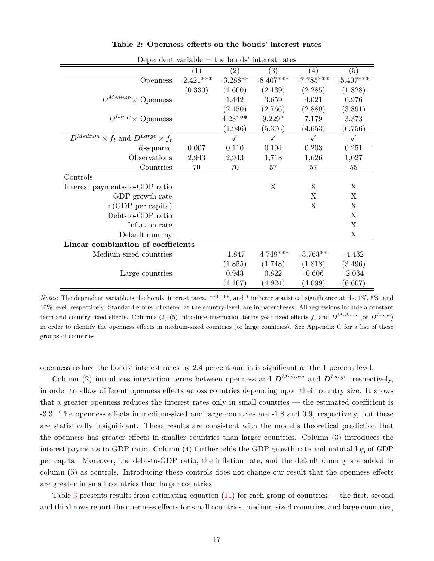|                                                    | Dependent variable – the bonds interest rates |                   |             |                  |              |
|----------------------------------------------------|-----------------------------------------------|-------------------|-------------|------------------|--------------|
|                                                    | $\left( 1\right)$                             | $\left( 2\right)$ | (3)         | $\left(4\right)$ | (5)          |
| <b>Openness</b>                                    | $-2.421$ ***                                  | $-3.288**$        | $-8.407***$ | $-7.785***$      | $-5.407***$  |
|                                                    | (0.330)                                       | (1.600)           | (2.139)     | (2.285)          | (1.828)      |
| $D^{Median}\times$ Openness                        |                                               | 1.442             | 3.659       | 4.021            | 0.976        |
|                                                    |                                               | (2.450)           | (2.766)     | (2.889)          | (3.891)      |
| $D^{Large} \times$ Openness                        |                                               | $4.231**$         | $9.229*$    | 7.179            | 3.373        |
|                                                    |                                               | (1.946)           | (5.376)     | (4.653)          | (6.756)      |
| $D^{Median} \times f_t$ and $D^{Large} \times f_t$ |                                               | ✓                 | ✓           | ✓                | $\checkmark$ |
| R-squared                                          | 0.007                                         | 0.110             | 0.194       | 0.203            | 0.251        |
| Observations                                       | 2,943                                         | 2,943             | 1,718       | 1,626            | 1,027        |
| Countries                                          | 70                                            | 70                | 57          | 57               | $55\,$       |
| Controls                                           |                                               |                   |             |                  |              |
| Interest payments-to-GDP ratio                     |                                               |                   | X           | X                | X            |
| GDP growth rate                                    |                                               |                   |             | X                | X            |
| $ln(GDP$ per capita)                               |                                               |                   |             | X                | X            |
| Debt-to-GDP ratio                                  |                                               |                   |             |                  | X            |
| Inflation rate                                     |                                               |                   |             |                  | X            |
| Default dummy                                      |                                               |                   |             |                  | X            |
| Linear combination of coefficients                 |                                               |                   |             |                  |              |
| Medium-sized countries                             |                                               | $-1.847$          | $-4.748***$ | $-3.763**$       | $-4.432$     |
|                                                    |                                               | (1.855)           | (1.748)     | (1.818)          | (3.496)      |
| Large countries                                    |                                               | 0.943             | 0.822       | $-0.606$         | $-2.034$     |
|                                                    |                                               | (1.107)           | (4.924)     | (4.099)          | (6.607)      |

**Table 2: Openness effects on the bonds' interest rates**

Dependent variable = the bonds' interest rates

openness reduce the bonds' interest rates by 2.4 percent and it is significant at the 1 percent level.

Column (2) introduces interaction terms between openness and  $D^{Medium}$  and  $D^{Large}$ , respectively, in order to allow different openness effects across countries depending upon their country size. It shows that a greater openness reduces the interest rates only in small countries — the estimated coefficient is -3.3. The openness effects in medium-sized and large countries are -1.8 and 0.9, respectively, but these are statistically insignificant. These results are consistent with the model's theoretical prediction that the openness has greater effects in smaller countries than larger countries. Column (3) introduces the interest payments-to-GDP ratio. Column (4) further adds the GDP growth rate and natural log of GDP per capita. Moreover, the debt-to-GDP ratio, the inflation rate, and the default dummy are added in column (5) as controls. Introducing these controls does not change our result that the openness effects are greater in small countries than larger countries.

Table 3 presents results from estimating equation  $(11)$  for each group of countries — the first, second and third rows report the openness effects for small countries, medium-sized countries, and large countries,

*Notes:* The dependent variable is the bonds' interest rates. \*\*\*, \*\*, and \* indicate statistical significance at the 1%, 5%, and 10% level, respectively. Standard errors, clustered at the country-level, are in parentheses. All regressions include a constant term and country fixed effects. Columns (2)-(5) introduce interaction terms year fixed effects *f<sup>t</sup>* and *D Medium* (or *D Large*) in order to identify the openness effects in medium-sized countries (or large countries). See Appendix C for a list of these groups of countries.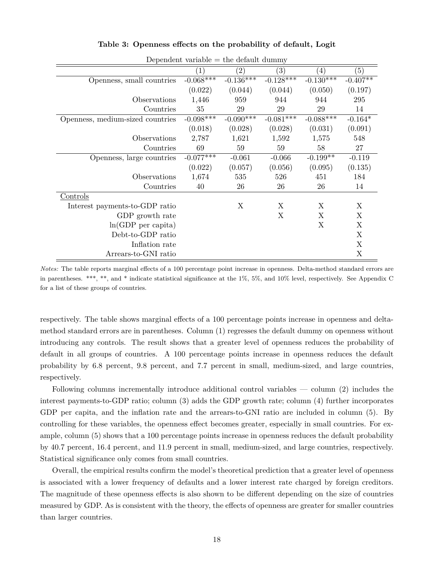| $p$ pependent variable $=$ the default dummy |                   |                   |                   |                   |            |  |
|----------------------------------------------|-------------------|-------------------|-------------------|-------------------|------------|--|
|                                              | $\left( 1\right)$ | $\left( 2\right)$ | $\left( 3\right)$ | $\left( 4\right)$ | (5)        |  |
| Openness, small countries                    | $-0.068***$       | $-0.136***$       | $-0.128***$       | $-0.130***$       | $-0.407**$ |  |
|                                              | (0.022)           | (0.044)           | (0.044)           | (0.050)           | (0.197)    |  |
| Observations                                 | 1,446             | 959               | 944               | 944               | 295        |  |
| Countries                                    | 35                | 29                | 29                | 29                | 14         |  |
| Openness, medium-sized countries             | $-0.098***$       | $-0.090**$        | $-0.081***$       | $-0.088***$       | $-0.164*$  |  |
|                                              | (0.018)           | (0.028)           | (0.028)           | (0.031)           | (0.091)    |  |
| Observations                                 | 2,787             | 1,621             | 1,592             | 1,575             | 548        |  |
| Countries                                    | 69                | 59                | 59                | 58                | 27         |  |
| Openness, large countries                    | $-0.077***$       | $-0.061$          | $-0.066$          | $-0.199**$        | $-0.119$   |  |
|                                              | (0.022)           | (0.057)           | (0.056)           | (0.095)           | (0.135)    |  |
| Observations                                 | 1,674             | 535               | 526               | 451               | 184        |  |
| Countries                                    | 40                | 26                | 26                | 26                | 14         |  |
| Controls                                     |                   |                   |                   |                   |            |  |
| Interest payments-to-GDP ratio               |                   | X                 | Χ                 | X                 | X          |  |
| GDP growth rate                              |                   |                   | X                 | X                 | X          |  |
| $ln(GDP$ per capita)                         |                   |                   |                   | X                 | X          |  |
| Debt-to-GDP ratio                            |                   |                   |                   |                   | X          |  |
| Inflation rate                               |                   |                   |                   |                   | X          |  |
| Arrears-to-GNI ratio                         |                   |                   |                   |                   | X          |  |

**Table 3: Openness effects on the probability of default, Logit**

Dependent variable = the default dummy

*Notes:* The table reports marginal effects of a 100 percentage point increase in openness. Delta-method standard errors are in parentheses. \*\*\*, \*\*, and \* indicate statistical significance at the 1%, 5%, and 10% level, respectively. See Appendix C for a list of these groups of countries.

respectively. The table shows marginal effects of a 100 percentage points increase in openness and deltamethod standard errors are in parentheses. Column (1) regresses the default dummy on openness without introducing any controls. The result shows that a greater level of openness reduces the probability of default in all groups of countries. A 100 percentage points increase in openness reduces the default probability by 6.8 percent, 9.8 percent, and 7.7 percent in small, medium-sized, and large countries, respectively.

Following columns incrementally introduce additional control variables — column (2) includes the interest payments-to-GDP ratio; column (3) adds the GDP growth rate; column (4) further incorporates GDP per capita, and the inflation rate and the arrears-to-GNI ratio are included in column (5). By controlling for these variables, the openness effect becomes greater, especially in small countries. For example, column (5) shows that a 100 percentage points increase in openness reduces the default probability by 40.7 percent, 16.4 percent, and 11.9 percent in small, medium-sized, and large countries, respectively. Statistical significance only comes from small countries.

Overall, the empirical results confirm the model's theoretical prediction that a greater level of openness is associated with a lower frequency of defaults and a lower interest rate charged by foreign creditors. The magnitude of these openness effects is also shown to be different depending on the size of countries measured by GDP. As is consistent with the theory, the effects of openness are greater for smaller countries than larger countries.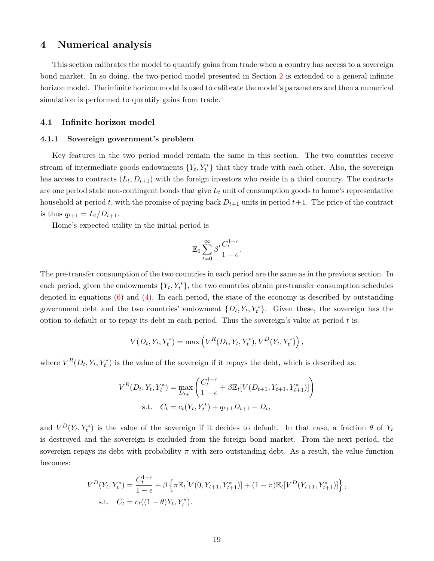# **4 Numerical analysis**

This section calibrates the model to quantify gains from trade when a country has access to a sovereign bond market. In so doing, the two-period model presented in Section 2 is extended to a general infinite horizon model. The infinite horizon model is used to calibrate the model's parameters and then a numerical simulation is performed to quantify gains from trade.

## **4.1 Infinite horizon model**

#### **4.1.1 Sovereign government's problem**

Key features in the two period model remain the same in this section. The two countries receive stream of intermediate goods endowments  ${Y_t, Y_t^*}$  that they trade with each other. Also, the sovereign has access to contracts  $(L_t, D_{t+1})$  with the foreign investors who reside in a third country. The contracts are one period state non-contingent bonds that give *L<sup>t</sup>* unit of consumption goods to home's representative household at period *t*, with the promise of paying back  $D_{t+1}$  units in period  $t+1$ . The price of the contract is thus  $q_{t+1} = L_t/D_{t+1}$ .

Home's expected utility in the initial period is

$$
\mathbb{E}_0 \sum_{t=0}^\infty \beta^t \frac{C_t^{1-\epsilon}}{1-\epsilon}.
$$

The pre-transfer consumption of the two countries in each period are the same as in the previous section. In each period, given the endowments  ${Y_t, Y_t^*}$ , the two countries obtain pre-transfer consumption schedules denoted in equations  $(6)$  and  $(4)$ . In each period, the state of the economy is described by outstanding government debt and the two countries' endowment  $\{D_t, Y_t, Y_t^*\}$ . Given these, the sovereign has the option to default or to repay its debt in each period. Thus the sovereign's value at period *t* is:

$$
V(D_t, Y_t, Y_t^*) = \max (V^R(D_t, Y_t, Y_t^*), V^D(Y_t, Y_t^*))
$$

where  $V^R(D_t, Y_t, Y_t^*)$  is the value of the sovereign if it repays the debt, which is described as:

$$
V^{R}(D_{t}, Y_{t}, Y_{t}^{*}) = \max_{D_{t+1}} \left( \frac{C_{t}^{1-\epsilon}}{1-\epsilon} + \beta \mathbb{E}_{t} [V(D_{t+1}, Y_{t+1}, Y_{t+1}^{*})] \right)
$$
  
s.t.  $C_{t} = c_{t}(Y_{t}, Y_{t}^{*}) + q_{t+1}D_{t+1} - D_{t},$ 

and  $V^D(Y_t, Y_t^*)$  is the value of the sovereign if it decides to default. In that case, a fraction  $\theta$  of  $Y_t$ is destroyed and the sovereign is excluded from the foreign bond market. From the next period, the sovereign repays its debt with probability  $\pi$  with zero outstanding debt. As a result, the value function becomes:

$$
V^{D}(Y_{t}, Y_{t}^{*}) = \frac{C_{t}^{1-\epsilon}}{1-\epsilon} + \beta \left\{ \pi \mathbb{E}_{t}[V(0, Y_{t+1}, Y_{t+1}^{*})] + (1-\pi) \mathbb{E}_{t}[V^{D}(Y_{t+1}, Y_{t+1}^{*})] \right\},
$$
  
s.t.  $C_{t} = c_{t}((1-\theta)Y_{t}, Y_{t}^{*}).$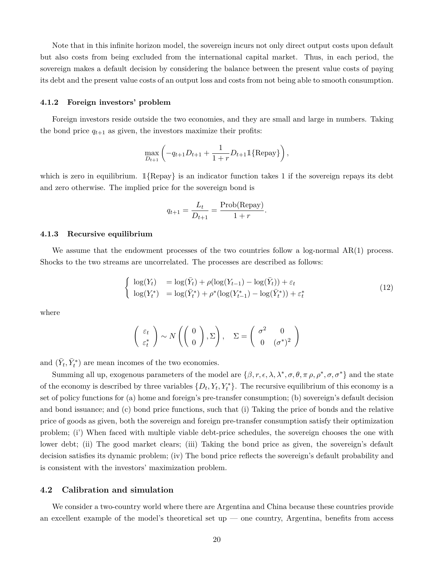Note that in this infinite horizon model, the sovereign incurs not only direct output costs upon default but also costs from being excluded from the international capital market. Thus, in each period, the sovereign makes a default decision by considering the balance between the present value costs of paying its debt and the present value costs of an output loss and costs from not being able to smooth consumption.

#### **4.1.2 Foreign investors' problem**

Foreign investors reside outside the two economies, and they are small and large in numbers. Taking the bond price  $q_{t+1}$  as given, the investors maximize their profits:

$$
\max_{D_{t+1}} \left( -q_{t+1}D_{t+1} + \frac{1}{1+r}D_{t+1}1\{\text{Repay}\}\right),\,
$$

which is zero in equilibrium.  $\mathbb{1}{\text{Repay}}$  is an indicator function takes 1 if the sovereign repays its debt and zero otherwise. The implied price for the sovereign bond is

$$
q_{t+1} = \frac{L_t}{D_{t+1}} = \frac{\text{Prob}(\text{Repay})}{1+r}.
$$

#### **4.1.3 Recursive equilibrium**

We assume that the endowment processes of the two countries follow a log-normal  $AR(1)$  process. Shocks to the two streams are uncorrelated. The processes are described as follows:

$$
\begin{cases}\n\log(Y_t) = \log(\bar{Y}_t) + \rho(\log(Y_{t-1}) - \log(\bar{Y}_t)) + \varepsilon_t \\
\log(Y_t^*) = \log(\bar{Y}_t^*) + \rho^*(\log(Y_{t-1}^*) - \log(\bar{Y}_t^*)) + \varepsilon_t^* \n\end{cases} (12)
$$

where

$$
\begin{pmatrix} \varepsilon_t \\ \varepsilon_t^* \end{pmatrix} \sim N\left( \begin{pmatrix} 0 \\ 0 \end{pmatrix}, \Sigma \right), \quad \Sigma = \begin{pmatrix} \sigma^2 & 0 \\ 0 & (\sigma^*)^2 \end{pmatrix}
$$

and  $(\bar{Y}_t, \bar{Y}_t^*)$  are mean incomes of the two economies.

Summing all up, exogenous parameters of the model are  $\{\beta, r, \epsilon, \lambda, \lambda^*, \sigma, \theta, \pi \rho, \rho^*, \sigma, \sigma^*\}$  and the state of the economy is described by three variables  $\{D_t, Y_t, Y_t^*\}$ . The recursive equilibrium of this economy is a set of policy functions for (a) home and foreign's pre-transfer consumption; (b) sovereign's default decision and bond issuance; and (c) bond price functions, such that (i) Taking the price of bonds and the relative price of goods as given, both the sovereign and foreign pre-transfer consumption satisfy their optimization problem; (i') When faced with multiple viable debt-price schedules, the sovereign chooses the one with lower debt; (ii) The good market clears; (iii) Taking the bond price as given, the sovereign's default decision satisfies its dynamic problem; (iv) The bond price reflects the sovereign's default probability and is consistent with the investors' maximization problem.

### **4.2 Calibration and simulation**

We consider a two-country world where there are Argentina and China because these countries provide an excellent example of the model's theoretical set up — one country, Argentina, benefits from access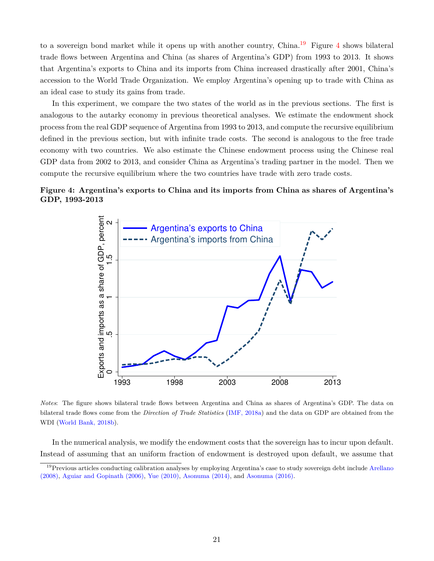to a sovereign bond market while it opens up with another country, China.<sup>19</sup> Figure 4 shows bilateral trade flows between Argentina and China (as shares of Argentina's GDP) from 1993 to 2013. It shows that Argentina's exports to China and its imports from China increased drastically after 2001, China's accession to the World Trade Organization. We employ Argentina's opening up to trade with China as an ideal case to study its gains from trade.

In this experiment, we compare the two states of the world as in the previous sections. The first is analogous to the autarky economy in previous theoretical analyses. We estimate the endowment shock process from the real GDP sequence of Argentina from 1993 to 2013, and compute the recursive equilibrium defined in the previous section, but with infinite trade costs. The second is analogous to the free trade economy with two countries. We also estimate the Chinese endowment process using the Chinese real GDP data from 2002 to 2013, and consider China as Argentina's trading partner in the model. Then we compute the recursive equilibrium where the two countries have trade with zero trade costs.

# **Figure 4: Argentina's exports to China and its imports from China as shares of Argentina's GDP, 1993-2013**



*Notes*: The figure shows bilateral trade flows between Argentina and China as shares of Argentina's GDP. The data on bilateral trade flows come from the *Direction of Trade Statistics* (IMF, 2018a) and the data on GDP are obtained from the WDI (World Bank, 2018b).

In the numerical analysis, we modify the endowment costs that the sovereign has to incur upon default. Instead of assuming that an uniform fraction of endowment is destroyed upon default, we assume that

 $19$ Previous articles conducting calibration analyses by employing Argentina's case to study sovereign debt include Arellano (2008), Aguiar and Gopinath (2006), Yue (2010), Asonuma (2014), and Asonuma (2016).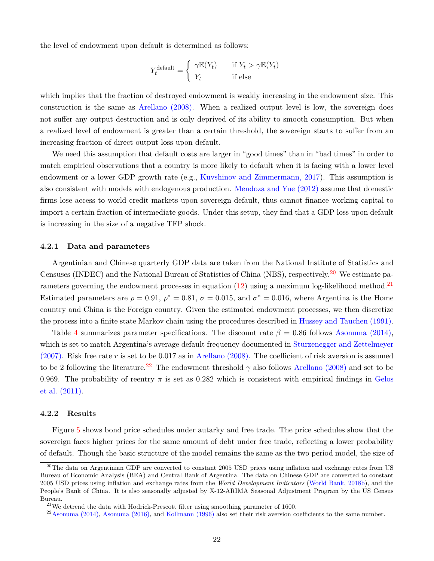the level of endowment upon default is determined as follows:

$$
Y_t^{\text{default}} = \begin{cases} \gamma \mathbb{E}(Y_t) & \text{if } Y_t > \gamma \mathbb{E}(Y_t) \\ Y_t & \text{if else} \end{cases}
$$

which implies that the fraction of destroyed endowment is weakly increasing in the endowment size. This construction is the same as Arellano (2008). When a realized output level is low, the sovereign does not suffer any output destruction and is only deprived of its ability to smooth consumption. But when a realized level of endowment is greater than a certain threshold, the sovereign starts to suffer from an increasing fraction of direct output loss upon default.

We need this assumption that default costs are larger in "good times" than in "bad times" in order to match empirical observations that a country is more likely to default when it is facing with a lower level endowment or a lower GDP growth rate (e.g., Kuvshinov and Zimmermann, 2017). This assumption is also consistent with models with endogenous production. Mendoza and Yue (2012) assume that domestic firms lose access to world credit markets upon sovereign default, thus cannot finance working capital to import a certain fraction of intermediate goods. Under this setup, they find that a GDP loss upon default is increasing in the size of a negative TFP shock.

### **4.2.1 Data and parameters**

Argentinian and Chinese quarterly GDP data are taken from the National Institute of Statistics and Censuses (INDEC) and the National Bureau of Statistics of China (NBS), respectively.<sup>20</sup> We estimate parameters governing the endowment processes in equation  $(12)$  using a maximum log-likelihood method.<sup>21</sup> Estimated parameters are  $\rho = 0.91$ ,  $\rho^* = 0.81$ ,  $\sigma = 0.015$ , and  $\sigma^* = 0.016$ , where Argentina is the Home country and China is the Foreign country. Given the estimated endowment processes, we then discretize the process into a finite state Markov chain using the procedures described in Hussey and Tauchen (1991).

Table 4 summarizes parameter specifications. The discount rate  $\beta = 0.86$  follows Asonuma (2014), which is set to match Argentina's average default frequency documented in Sturzenegger and Zettelmeyer (2007). Risk free rate *r* is set to be 0*.*017 as in Arellano (2008). The coefficient of risk aversion is assumed to be 2 following the literature.<sup>22</sup> The endowment threshold  $\gamma$  also follows Arellano (2008) and set to be 0.969. The probability of reentry  $\pi$  is set as 0.282 which is consistent with empirical findings in Gelos et al. (2011).

# **4.2.2 Results**

Figure 5 shows bond price schedules under autarky and free trade. The price schedules show that the sovereign faces higher prices for the same amount of debt under free trade, reflecting a lower probability of default. Though the basic structure of the model remains the same as the two period model, the size of

 $^{20}$ The data on Argentinian GDP are converted to constant 2005 USD prices using inflation and exchange rates from US Bureau of Economic Analysis (BEA) and Central Bank of Argentina. The data on Chinese GDP are converted to constant 2005 USD prices using inflation and exchange rates from the *World Development Indicators* (World Bank, 2018b), and the People's Bank of China. It is also seasonally adjusted by X-12-ARIMA Seasonal Adjustment Program by the US Census Bureau.

 $^{21}$ We detrend the data with Hodrick-Prescott filter using smoothing parameter of 1600.

 $22$ Asonuma (2014), Asonuma (2016), and Kollmann (1996) also set their risk aversion coefficients to the same number.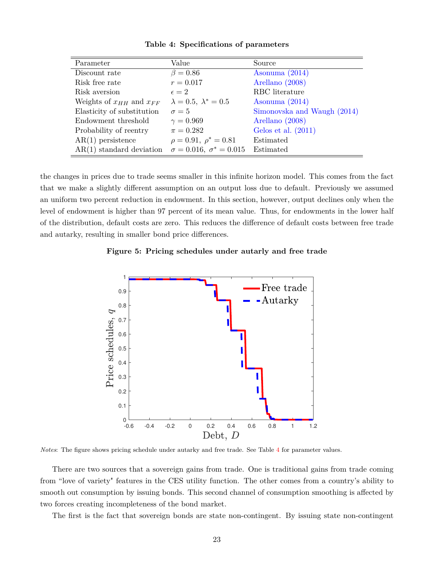| Parameter                        | Value                                | Source                      |
|----------------------------------|--------------------------------------|-----------------------------|
| Discount rate                    | $\beta = 0.86$                       | Asonuma $(2014)$            |
| Risk free rate                   | $r = 0.017$                          | Arellano (2008)             |
| Risk aversion                    | $\epsilon = 2$                       | RBC literature              |
| Weights of $x_{HH}$ and $x_{FF}$ | $\lambda = 0.5, \lambda^* = 0.5$     | Asonuma $(2014)$            |
| Elasticity of substitution       | $\sigma = 5$                         | Simonovska and Waugh (2014) |
| Endowment threshold              | $\gamma = 0.969$                     | Arellano (2008)             |
| Probability of reentry           | $\pi = 0.282$                        | Gelos et al. $(2011)$       |
| $AR(1)$ persistence              | $\rho = 0.91, \ \rho^* = 0.81$       | Estimated                   |
| $AR(1)$ standard deviation       | $\sigma = 0.016, \ \sigma^* = 0.015$ | Estimated                   |

**Table 4: Specifications of parameters**

the changes in prices due to trade seems smaller in this infinite horizon model. This comes from the fact that we make a slightly different assumption on an output loss due to default. Previously we assumed an uniform two percent reduction in endowment. In this section, however, output declines only when the level of endowment is higher than 97 percent of its mean value. Thus, for endowments in the lower half of the distribution, default costs are zero. This reduces the difference of default costs between free trade and autarky, resulting in smaller bond price differences.

## **Figure 5: Pricing schedules under autarly and free trade**



*Notes*: The figure shows pricing schedule under autarky and free trade. See Table 4 for parameter values.

There are two sources that a sovereign gains from trade. One is traditional gains from trade coming from "love of variety" features in the CES utility function. The other comes from a country's ability to smooth out consumption by issuing bonds. This second channel of consumption smoothing is affected by two forces creating incompleteness of the bond market.

The first is the fact that sovereign bonds are state non-contingent. By issuing state non-contingent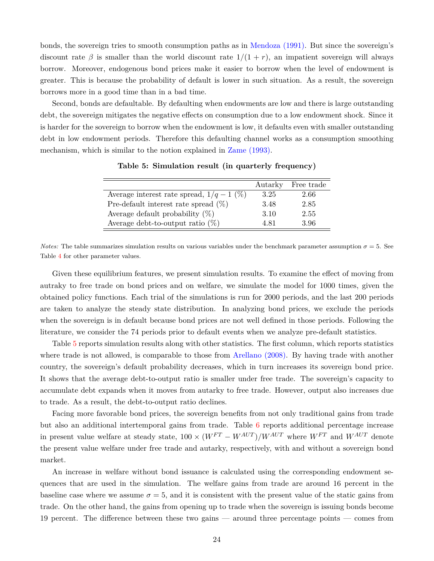bonds, the sovereign tries to smooth consumption paths as in Mendoza (1991). But since the sovereign's discount rate  $\beta$  is smaller than the world discount rate  $1/(1 + r)$ , an impatient sovereign will always borrow. Moreover, endogenous bond prices make it easier to borrow when the level of endowment is greater. This is because the probability of default is lower in such situation. As a result, the sovereign borrows more in a good time than in a bad time.

Second, bonds are defaultable. By defaulting when endowments are low and there is large outstanding debt, the sovereign mitigates the negative effects on consumption due to a low endowment shock. Since it is harder for the sovereign to borrow when the endowment is low, it defaults even with smaller outstanding debt in low endowment periods. Therefore this defaulting channel works as a consumption smoothing mechanism, which is similar to the notion explained in Zame (1993).

|                                           | Autarky | Free trade |
|-------------------------------------------|---------|------------|
| Average interest rate spread, $1/q-1$ (%) | 3.25    | 2.66       |
| Pre-default interest rate spread $(\%)$   | 3.48    | 2.85       |
| Average default probability $(\%)$        | 3.10    | 2.55       |
| Average debt-to-output ratio $(\%)$       | 4.81    | 3.96       |

**Table 5: Simulation result (in quarterly frequency)**

Given these equilibrium features, we present simulation results. To examine the effect of moving from autraky to free trade on bond prices and on welfare, we simulate the model for 1000 times, given the obtained policy functions. Each trial of the simulations is run for 2000 periods, and the last 200 periods are taken to analyze the steady state distribution. In analyzing bond prices, we exclude the periods when the sovereign is in default because bond prices are not well defined in those periods. Following the literature, we consider the 74 periods prior to default events when we analyze pre-default statistics.

Table 5 reports simulation results along with other statistics. The first column, which reports statistics where trade is not allowed, is comparable to those from Arellano (2008). By having trade with another country, the sovereign's default probability decreases, which in turn increases its sovereign bond price. It shows that the average debt-to-output ratio is smaller under free trade. The sovereign's capacity to accumulate debt expands when it moves from autarky to free trade. However, output also increases due to trade. As a result, the debt-to-output ratio declines.

Facing more favorable bond prices, the sovereign benefits from not only traditional gains from trade but also an additional intertemporal gains from trade. Table 6 reports additional percentage increase in present value welfare at steady state,  $100 \times (W^{FT} - W^{AUT})/W^{AUT}$  where  $W^{FT}$  and  $W^{AUT}$  denote the present value welfare under free trade and autarky, respectively, with and without a sovereign bond market.

An increase in welfare without bond issuance is calculated using the corresponding endowment sequences that are used in the simulation. The welfare gains from trade are around 16 percent in the baseline case where we assume  $\sigma = 5$ , and it is consistent with the present value of the static gains from trade. On the other hand, the gains from opening up to trade when the sovereign is issuing bonds become 19 percent. The difference between these two gains — around three percentage points — comes from

*Notes:* The table summarizes simulation results on various variables under the benchmark parameter assumption  $\sigma = 5$ . See Table 4 for other parameter values.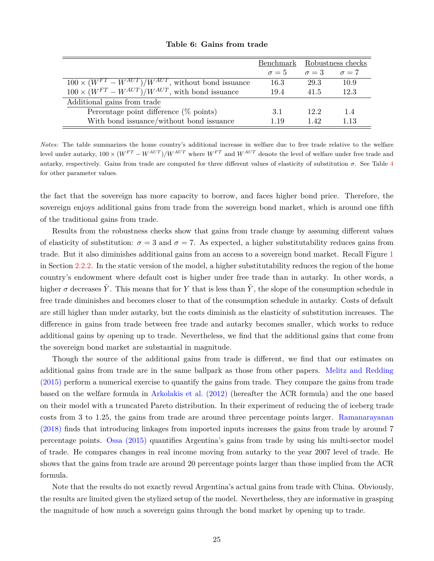|                                                                 | Benchmark Robustness checks |              |              |
|-----------------------------------------------------------------|-----------------------------|--------------|--------------|
|                                                                 | $\sigma = 5$                | $\sigma = 3$ | $\sigma = 7$ |
| $100 \times (W^{FT} - W^{AUT})/W^{AUT}$ , without bond issuance | 16.3                        | 29.3         | 10.9         |
| $100 \times (W^{FT} - W^{AUT})/W^{AUT}$ , with bond issuance    | 19.4                        | 41.5         | 12.3         |
| Additional gains from trade                                     |                             |              |              |
| Percentage point difference $(\%$ points)                       | 3.1                         | 12.2         | 14           |
| With bond issuance/without bond issuance                        | 1.19                        | 1.42         | 1.13         |

**Table 6: Gains from trade**

*Notes:* The table summarizes the home country's additional increase in welfare due to free trade relative to the welfare level under autarky,  $100 \times (W^{FT} - W^{AUT})/W^{AUT}$  where  $W^{FT}$  and  $W^{AUT}$  denote the level of welfare under free trade and autarky, respectively. Gains from trade are computed for three different values of elasticity of substitution  $\sigma$ . See Table 4 for other parameter values.

the fact that the sovereign has more capacity to borrow, and faces higher bond price. Therefore, the sovereign enjoys additional gains from trade from the sovereign bond market, which is around one fifth of the traditional gains from trade.

Results from the robustness checks show that gains from trade change by assuming different values of elasticity of substitution:  $\sigma = 3$  and  $\sigma = 7$ . As expected, a higher substitutability reduces gains from trade. But it also diminishes additional gains from an access to a sovereign bond market. Recall Figure 1 in Section 2.2.2. In the static version of the model, a higher substitutability reduces the region of the home country's endowment where default cost is higher under free trade than in autarky. In other words, a higher  $\sigma$  decreases  $\bar{Y}$ . This means that for Y that is less than  $\bar{Y}$ , the slope of the consumption schedule in free trade diminishes and becomes closer to that of the consumption schedule in autarky. Costs of default are still higher than under autarky, but the costs diminish as the elasticity of substitution increases. The difference in gains from trade between free trade and autarky becomes smaller, which works to reduce additional gains by opening up to trade. Nevertheless, we find that the additional gains that come from the sovereign bond market are substantial in magnitude.

Though the source of the additional gains from trade is different, we find that our estimates on additional gains from trade are in the same ballpark as those from other papers. Melitz and Redding (2015) perform a numerical exercise to quantify the gains from trade. They compare the gains from trade based on the welfare formula in Arkolakis et al. (2012) (hereafter the ACR formula) and the one based on their model with a truncated Pareto distribution. In their experiment of reducing the of iceberg trade costs from 3 to 1.25, the gains from trade are around three percentage points larger. Ramanarayanan (2018) finds that introducing linkages from imported inputs increases the gains from trade by around 7 percentage points. Ossa (2015) quantifies Argentina's gains from trade by using his multi-sector model of trade. He compares changes in real income moving from autarky to the year 2007 level of trade. He shows that the gains from trade are around 20 percentage points larger than those implied from the ACR formula.

Note that the results do not exactly reveal Argentina's actual gains from trade with China. Obviously, the results are limited given the stylized setup of the model. Nevertheless, they are informative in grasping the magnitude of how much a sovereign gains through the bond market by opening up to trade.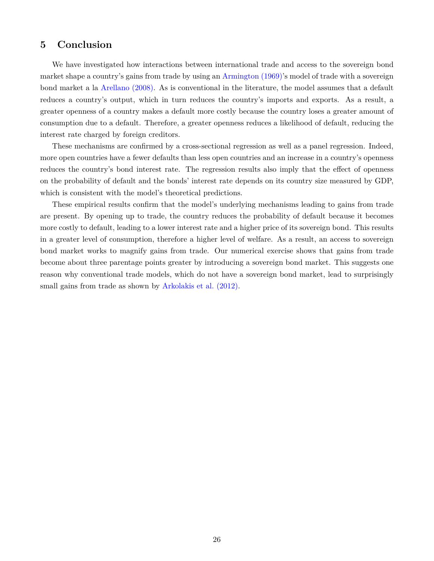# **5 Conclusion**

We have investigated how interactions between international trade and access to the sovereign bond market shape a country's gains from trade by using an Armington (1969)'s model of trade with a sovereign bond market a la Arellano (2008). As is conventional in the literature, the model assumes that a default reduces a country's output, which in turn reduces the country's imports and exports. As a result, a greater openness of a country makes a default more costly because the country loses a greater amount of consumption due to a default. Therefore, a greater openness reduces a likelihood of default, reducing the interest rate charged by foreign creditors.

These mechanisms are confirmed by a cross-sectional regression as well as a panel regression. Indeed, more open countries have a fewer defaults than less open countries and an increase in a country's openness reduces the country's bond interest rate. The regression results also imply that the effect of openness on the probability of default and the bonds' interest rate depends on its country size measured by GDP, which is consistent with the model's theoretical predictions.

These empirical results confirm that the model's underlying mechanisms leading to gains from trade are present. By opening up to trade, the country reduces the probability of default because it becomes more costly to default, leading to a lower interest rate and a higher price of its sovereign bond. This results in a greater level of consumption, therefore a higher level of welfare. As a result, an access to sovereign bond market works to magnify gains from trade. Our numerical exercise shows that gains from trade become about three parentage points greater by introducing a sovereign bond market. This suggests one reason why conventional trade models, which do not have a sovereign bond market, lead to surprisingly small gains from trade as shown by Arkolakis et al.  $(2012)$ .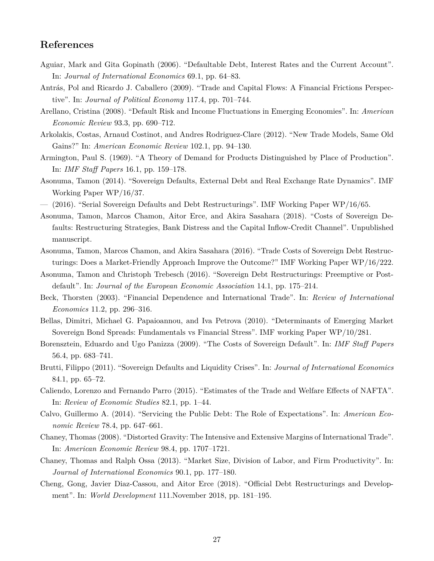# **References**

- Aguiar, Mark and Gita Gopinath (2006). "Defaultable Debt, Interest Rates and the Current Account". In: *Journal of International Economics* 69.1, pp. 64–83.
- Antrás, Pol and Ricardo J. Caballero (2009). "Trade and Capital Flows: A Financial Frictions Perspective". In: *Journal of Political Economy* 117.4, pp. 701–744.
- Arellano, Cristina (2008). "Default Risk and Income Fluctuations in Emerging Economies". In: *American Economic Review* 93.3, pp. 690–712.
- Arkolakis, Costas, Arnaud Costinot, and Andres Rodriguez-Clare (2012). "New Trade Models, Same Old Gains?" In: *American Economic Review* 102.1, pp. 94–130.
- Armington, Paul S. (1969). "A Theory of Demand for Products Distinguished by Place of Production". In: *IMF Staff Papers* 16.1, pp. 159–178.
- Asonuma, Tamon (2014). "Sovereign Defaults, External Debt and Real Exchange Rate Dynamics". IMF Working Paper WP/16/37.
- (2016). "Serial Sovereign Defaults and Debt Restructurings". IMF Working Paper WP/16/65.
- Asonuma, Tamon, Marcos Chamon, Aitor Erce, and Akira Sasahara (2018). "Costs of Sovereign Defaults: Restructuring Strategies, Bank Distress and the Capital Inflow-Credit Channel". Unpublished manuscript.
- Asonuma, Tamon, Marcos Chamon, and Akira Sasahara (2016). "Trade Costs of Sovereign Debt Restructurings: Does a Market-Friendly Approach Improve the Outcome?" IMF Working Paper WP/16/222.
- Asonuma, Tamon and Christoph Trebesch (2016). "Sovereign Debt Restructurings: Preemptive or Postdefault". In: *Journal of the European Economic Association* 14.1, pp. 175–214.
- Beck, Thorsten (2003). "Financial Dependence and International Trade". In: *Review of International Economics* 11.2, pp. 296–316.
- Bellas, Dimitri, Michael G. Papaioannou, and Iva Petrova (2010). "Determinants of Emerging Market Sovereign Bond Spreads: Fundamentals vs Financial Stress". IMF working Paper WP/10/281.
- Borensztein, Eduardo and Ugo Panizza (2009). "The Costs of Sovereign Default". In: *IMF Staff Papers* 56.4, pp. 683–741.
- Brutti, Filippo (2011). "Sovereign Defaults and Liquidity Crises". In: *Journal of International Economics* 84.1, pp. 65–72.
- Caliendo, Lorenzo and Fernando Parro (2015). "Estimates of the Trade and Welfare Effects of NAFTA". In: *Review of Economic Studies* 82.1, pp. 1–44.
- Calvo, Guillermo A. (2014). "Servicing the Public Debt: The Role of Expectations". In: *American Economic Review* 78.4, pp. 647–661.
- Chaney, Thomas (2008). "Distorted Gravity: The Intensive and Extensive Margins of International Trade". In: *American Economic Review* 98.4, pp. 1707–1721.
- Chaney, Thomas and Ralph Ossa (2013). "Market Size, Division of Labor, and Firm Productivity". In: *Journal of International Economics* 90.1, pp. 177–180.
- Cheng, Gong, Javier Diaz-Cassou, and Aitor Erce (2018). "Official Debt Restructurings and Development". In: *World Development* 111.November 2018, pp. 181–195.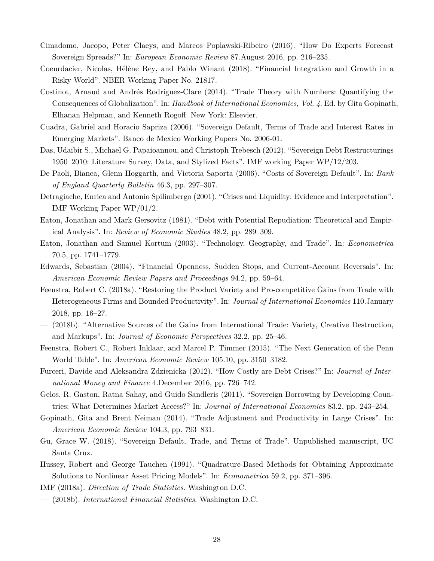- Cimadomo, Jacopo, Peter Claeys, and Marcos Poplawski-Ribeiro (2016). "How Do Experts Forecast Sovereign Spreads?" In: *European Economic Review* 87.August 2016, pp. 216–235.
- Coeurdacier, Nicolas, Hélène Rey, and Pablo Winant (2018). "Financial Integration and Growth in a Risky World". NBER Working Paper No. 21817.
- Costinot, Arnaud and Andrés Rodríguez-Clare (2014). "Trade Theory with Numbers: Quantifying the Consequences of Globalization". In: *Handbook of International Economics, Vol. 4*. Ed. by Gita Gopinath, Elhanan Helpman, and Kenneth Rogoff. New York: Elsevier.
- Cuadra, Gabriel and Horacio Sapriza (2006). "Sovereign Default, Terms of Trade and Interest Rates in Emerging Markets". Banco de Mexico Working Papers No. 2006-01.
- Das, Udaibir S., Michael G. Papaioannou, and Christoph Trebesch (2012). "Sovereign Debt Restructurings 1950–2010: Literature Survey, Data, and Stylized Facts". IMF working Paper WP/12/203.
- De Paoli, Bianca, Glenn Hoggarth, and Victoria Saporta (2006). "Costs of Sovereign Default". In: *Bank of England Quarterly Bulletin* 46.3, pp. 297–307.
- Detragiache, Enrica and Antonio Spilimbergo (2001). "Crises and Liquidity: Evidence and Interpretation". IMF Working Paper WP/01/2.
- Eaton, Jonathan and Mark Gersovitz (1981). "Debt with Potential Repudiation: Theoretical and Empirical Analysis". In: *Review of Economic Studies* 48.2, pp. 289–309.
- Eaton, Jonathan and Samuel Kortum (2003). "Technology, Geography, and Trade". In: *Econometrica* 70.5, pp. 1741–1779.
- Edwards, Sebastian (2004). "Financial Openness, Sudden Stops, and Current-Account Reversals". In: *American Economic Review Papers and Proceedings* 94.2, pp. 59–64.
- Feenstra, Robert C. (2018a). "Restoring the Product Variety and Pro-competitive Gains from Trade with Heterogeneous Firms and Bounded Productivity". In: *Journal of International Economics* 110.January 2018, pp. 16–27.
- (2018b). "Alternative Sources of the Gains from International Trade: Variety, Creative Destruction, and Markups". In: *Journal of Economic Perspectives* 32.2, pp. 25–46.
- Feenstra, Robert C., Robert Inklaar, and Marcel P. Timmer (2015). "The Next Generation of the Penn World Table". In: *American Economic Review* 105.10, pp. 3150–3182.
- Furceri, Davide and Aleksandra Zdzienicka (2012). "How Costly are Debt Crises?" In: *Journal of International Money and Finance* 4.December 2016, pp. 726–742.
- Gelos, R. Gaston, Ratna Sahay, and Guido Sandleris (2011). "Sovereign Borrowing by Developing Countries: What Determines Market Access?" In: *Journal of International Economics* 83.2, pp. 243–254.
- Gopinath, Gita and Brent Neiman (2014). "Trade Adjustment and Productivity in Large Crises". In: *American Economic Review* 104.3, pp. 793–831.
- Gu, Grace W. (2018). "Sovereign Default, Trade, and Terms of Trade". Unpublished manuscript, UC Santa Cruz.
- Hussey, Robert and George Tauchen (1991). "Quadrature-Based Methods for Obtaining Approximate Solutions to Nonlinear Asset Pricing Models". In: *Econometrica* 59.2, pp. 371–396.
- IMF (2018a). *Direction of Trade Statistics*. Washington D.C.
- (2018b). *International Financial Statistics*. Washington D.C.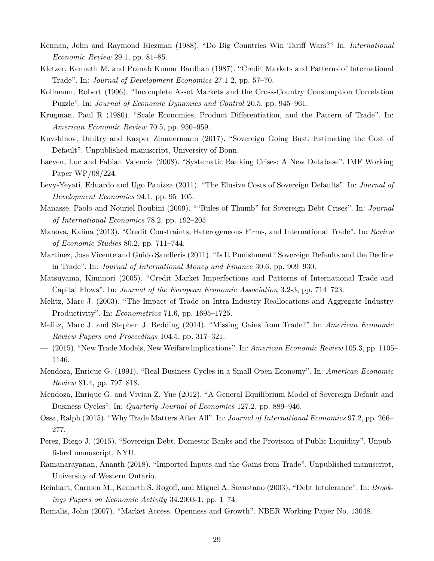- Kennan, John and Raymond Riezman (1988). "Do Big Countries Win Tariff Wars?" In: *International Economic Review* 29.1, pp. 81–85.
- Kletzer, Kenneth M. and Pranab Kumar Bardhan (1987). "Credit Markets and Patterns of International Trade". In: *Journal of Development Economics* 27.1-2, pp. 57–70.
- Kollmann, Robert (1996). "Incomplete Asset Markets and the Cross-Country Consumption Correlation Puzzle". In: *Journal of Economic Dynamics and Control* 20.5, pp. 945–961.
- Krugman, Paul R (1980). "Scale Economies, Product Differentiation, and the Pattern of Trade". In: *American Economic Review* 70.5, pp. 950–959.
- Kuvshinov, Dmitry and Kasper Zimmermann (2017). "Sovereign Going Bust: Estimating the Cost of Default". Unpublished manuscript, University of Bonn.
- Laeven, Luc and Fabian Valencia (2008). "Systematic Banking Crises: A New Database". IMF Working Paper WP/08/224.
- Levy-Yeyati, Eduardo and Ugo Panizza (2011). "The Elusive Costs of Sovereign Defaults". In: *Journal of Development Economics* 94.1, pp. 95–105.
- Manasse, Paolo and Nouriel Roubini (2009). ""Rules of Thumb" for Sovereign Debt Crises". In: *Journal of International Economics* 78.2, pp. 192–205.
- Manova, Kalina (2013). "Credit Constraints, Heterogeneous Firms, and International Trade". In: *Review of Economic Studies* 80.2, pp. 711–744.
- Martinez, Jose Vicente and Guido Sandleris (2011). "Is It Punishment? Sovereign Defaults and the Decline in Trade". In: *Journal of International Money and Finance* 30.6, pp. 909–930.
- Matsuyama, Kiminori (2005). "Credit Market Imperfections and Patterns of International Trade and Capital Flows". In: *Journal of the European Economic Association* 3.2-3, pp. 714–723.
- Melitz, Marc J. (2003). "The Impact of Trade on Intra-Industry Reallocations and Aggregate Industry Productivity". In: *Econometrica* 71.6, pp. 1695–1725.
- Melitz, Marc J. and Stephen J. Redding (2014). "Missing Gains from Trade?" In: *American Economic Review Papers and Proceedings* 104.5, pp. 317–321.
- (2015). "New Trade Models, New Weifare lmplications". In: *American Economic Review* 105.3, pp. 1105– 1146.
- Mendoza, Enrique G. (1991). "Real Business Cycles in a Small Open Economy". In: *American Economic Review* 81.4, pp. 797–818.
- Mendoza, Enrique G. and Vivian Z. Yue (2012). "A General Equilibrium Model of Sovereign Default and Business Cycles". In: *Quarterly Journal of Economics* 127.2, pp. 889–946.
- Ossa, Ralph (2015). "Why Trade Matters After All". In: *Journal of International Economics* 97.2, pp. 266– 277.
- Perez, Diego J. (2015). "Sovereign Debt, Domestic Banks and the Provision of Public Liquidity". Unpublished manuscript, NYU.
- Ramanarayanan, Ananth (2018). "Imported Inputs and the Gains from Trade". Unpublished manuscript, University of Western Ontario.
- Reinhart, Carmen M., Kenneth S. Rogoff, and Miguel A. Savastano (2003). "Debt Intolerance". In: *Brookings Papers on Economic Activity* 34.2003-1, pp. 1–74.
- Romalis, John (2007). "Market Access, Openness and Growth". NBER Working Paper No. 13048.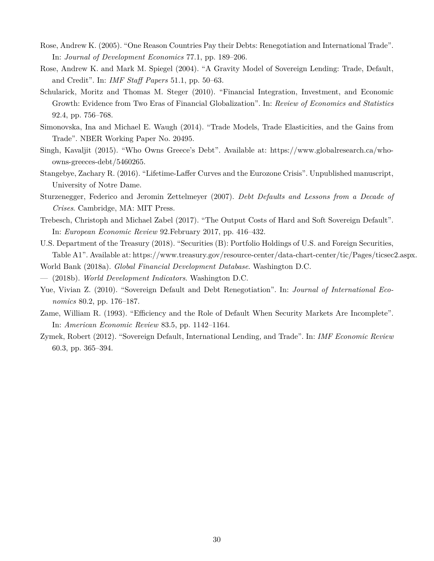- Rose, Andrew K. (2005). "One Reason Countries Pay their Debts: Renegotiation and International Trade". In: *Journal of Development Economics* 77.1, pp. 189–206.
- Rose, Andrew K. and Mark M. Spiegel (2004). "A Gravity Model of Sovereign Lending: Trade, Default, and Credit". In: *IMF Staff Papers* 51.1, pp. 50–63.
- Schularick, Moritz and Thomas M. Steger (2010). "Financial Integration, Investment, and Economic Growth: Evidence from Two Eras of Financial Globalization". In: *Review of Economics and Statistics* 92.4, pp. 756–768.
- Simonovska, Ina and Michael E. Waugh (2014). "Trade Models, Trade Elasticities, and the Gains from Trade". NBER Working Paper No. 20495.
- Singh, Kavaljit (2015). "Who Owns Greece's Debt". Available at: https://www.globalresearch.ca/whoowns-greeces-debt/5460265.
- Stangebye, Zachary R. (2016). "Lifetime-Laffer Curves and the Eurozone Crisis". Unpublished manuscript, University of Notre Dame.
- Sturzenegger, Federico and Jeromin Zettelmeyer (2007). *Debt Defaults and Lessons from a Decade of Crises*. Cambridge, MA: MIT Press.
- Trebesch, Christoph and Michael Zabel (2017). "The Output Costs of Hard and Soft Sovereign Default". In: *European Economic Review* 92.February 2017, pp. 416–432.
- U.S. Department of the Treasury (2018). "Securities (B): Portfolio Holdings of U.S. and Foreign Securities, Table A1". Available at: https://www.treasury.gov/resource-center/data-chart-center/tic/Pages/ticsec2.aspx.
- World Bank (2018a). *Global Financial Development Database*. Washington D.C.
- (2018b). *World Development Indicators*. Washington D.C.
- Yue, Vivian Z. (2010). "Sovereign Default and Debt Renegotiation". In: *Journal of International Economics* 80.2, pp. 176–187.
- Zame, William R. (1993). "Efficiency and the Role of Default When Security Markets Are Incomplete". In: *American Economic Review* 83.5, pp. 1142–1164.
- Zymek, Robert (2012). "Sovereign Default, International Lending, and Trade". In: *IMF Economic Review* 60.3, pp. 365–394.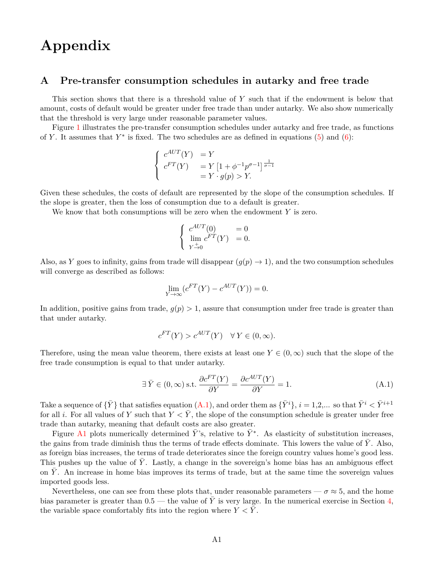# **Appendix**

# **A Pre-transfer consumption schedules in autarky and free trade**

This section shows that there is a threshold value of *Y* such that if the endowment is below that amount, costs of default would be greater under free trade than under autarky. We also show numerically that the threshold is very large under reasonable parameter values.

Figure 1 illustrates the pre-transfer consumption schedules under autarky and free trade, as functions of *Y*. It assumes that  $Y^*$  is fixed. The two schedules are as defined in equations  $(5)$  and  $(6)$ :

$$
\begin{cases}\n c^{AUT}(Y) &= Y \\
 c^{FT}(Y) &= Y \left[ 1 + \phi^{-1} p^{\sigma-1} \right]_{\sigma-1}^{\sigma} \\
 &= Y \cdot g(p) > Y.\n\end{cases}
$$

Given these schedules, the costs of default are represented by the slope of the consumption schedules. If the slope is greater, then the loss of consumption due to a default is greater.

We know that both consumptions will be zero when the endowment *Y* is zero.

$$
\begin{cases}\n c^{AUT}(0) &= 0\\ \n \lim_{Y \to 0} c^{FT}(Y) &= 0.\n\end{cases}
$$

Also, as *Y* goes to infinity, gains from trade will disappear  $(q(p) \rightarrow 1)$ , and the two consumption schedules will converge as described as follows:

$$
\lim_{Y \to \infty} (c^{FT}(Y) - c^{AUT}(Y)) = 0.
$$

In addition, positive gains from trade,  $g(p) > 1$ , assure that consumption under free trade is greater than that under autarky.

$$
c^{FT}(Y) > c^{AUT}(Y) \quad \forall Y \in (0, \infty).
$$

Therefore, using the mean value theorem, there exists at least one  $Y \in (0,\infty)$  such that the slope of the free trade consumption is equal to that under autarky.

$$
\exists \bar{Y} \in (0, \infty) \text{ s.t. } \frac{\partial c^{FT}(Y)}{\partial Y} = \frac{\partial c^{AUT}(Y)}{\partial Y} = 1.
$$
\n(A.1)

Take a sequence of  $\{\bar{Y}\}\$  that satisfies equation  $(A.1)$ , and order them as  $\{\bar{Y}^i\}, i = 1,2,...$  so that  $\bar{Y}^i < \bar{Y}^{i+1}$ for all *i*. For all values of *Y* such that  $Y \leq \overline{Y}$ , the slope of the consumption schedule is greater under free trade than autarky, meaning that default costs are also greater.

Figure A1 plots numerically determined  $\bar{Y}$ 's, relative to  $\bar{Y}^*$ . As elasticity of substitution increases, the gains from trade diminish thus the terms of trade effects dominate. This lowers the value of *Y*. Also, as foreign bias increases, the terms of trade deteriorates since the foreign country values home's good less. This pushes up the value of *Y*. Lastly, a change in the sovereign's home bias has an ambiguous effect on *Y*¯ . An increase in home bias improves its terms of trade, but at the same time the sovereign values imported goods less.

Nevertheless, one can see from these plots that, under reasonable parameters —  $\sigma \approx 5$ , and the home bias parameter is greater than  $0.5$  — the value of Y is very large. In the numerical exercise in Section  $4$ , the variable space comfortably fits into the region where  $Y < Y$ .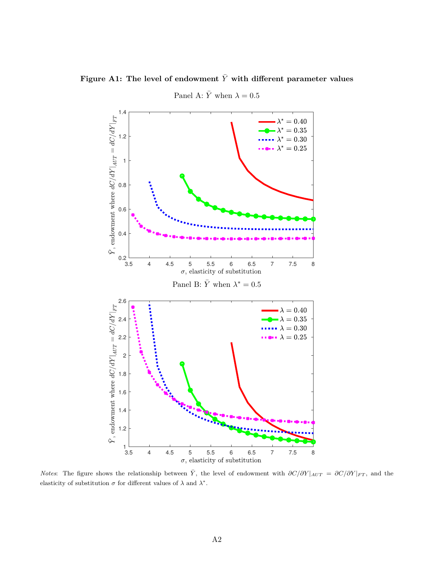Figure A1: The level of endowment  $\bar{Y}$  with different parameter values



Panel A:  $\bar{Y}$  when  $\lambda = 0.5$ 

*Notes*: The figure shows the relationship between  $\bar{Y}$ , the level of endowment with  $\partial C/\partial Y|_{AUT} = \partial C/\partial Y|_{FT}$ , and the elasticity of substitution  $\sigma$  for different values of  $\lambda$  and  $\lambda^*$ .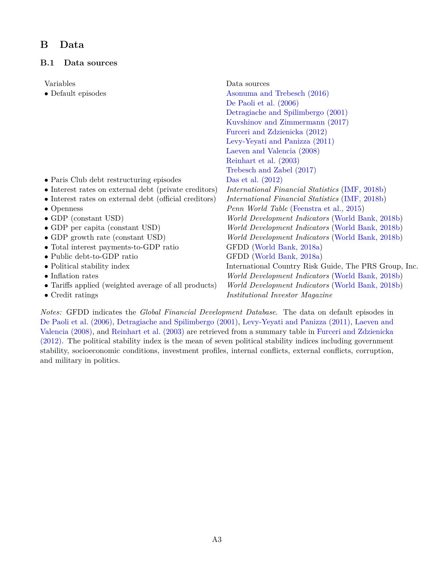# **B Data**

# **B.1 Data sources**

| Variables<br>$\bullet$ Default episodes                                                                                                                                                                                                                                                                                                                                     | Data sources<br>Asonuma and Trebesch (2016)<br>De Paoli et al. $(2006)$<br>Detragiache and Spilimbergo (2001)<br>Kuvshinov and Zimmermann (2017)<br>Furceri and Zdzienicka (2012)                                                                                                                                                                                                                                                         |
|-----------------------------------------------------------------------------------------------------------------------------------------------------------------------------------------------------------------------------------------------------------------------------------------------------------------------------------------------------------------------------|-------------------------------------------------------------------------------------------------------------------------------------------------------------------------------------------------------------------------------------------------------------------------------------------------------------------------------------------------------------------------------------------------------------------------------------------|
|                                                                                                                                                                                                                                                                                                                                                                             | Levy-Yeyati and Panizza (2011)<br>Laeven and Valencia (2008)<br>Reinhart et al. (2003)<br>Trebesch and Zabel (2017)                                                                                                                                                                                                                                                                                                                       |
| • Paris Club debt restructuring episodes                                                                                                                                                                                                                                                                                                                                    | Das et al. $(2012)$                                                                                                                                                                                                                                                                                                                                                                                                                       |
| • Interest rates on external debt (private creditors)<br>• Interest rates on external debt (official creditors)<br>$\bullet$ Openness<br>$\bullet$ GDP (constant USD)<br>$\bullet$ GDP per capita (constant USD)<br>$\bullet$ GDP growth rate (constant USD)<br>• Total interest payments-to-GDP ratio<br>$\bullet$ Public debt-to-GDP ratio<br>• Political stability index | <i>International Financial Statistics</i> (IMF, 2018b)<br>International Financial Statistics (IMF, 2018b)<br>Penn World Table (Feenstra et al., 2015)<br><i>World Development Indicators</i> (World Bank, 2018b)<br>World Development Indicators (World Bank, 2018b)<br>World Development Indicators (World Bank, 2018b)<br>GFDD (World Bank, 2018a)<br>GFDD (World Bank, 2018a)<br>International Country Risk Guide, The PRS Group, Inc. |
| • Inflation rates<br>• Tariffs applied (weighted average of all products)<br>$\bullet$ Credit ratings                                                                                                                                                                                                                                                                       | <i>World Development Indicators</i> (World Bank, 2018b)<br><i>World Development Indicators</i> (World Bank, 2018b)<br><i>Institutional Investor Magazine</i>                                                                                                                                                                                                                                                                              |

*Notes:* GFDD indicates the *Global Financial Development Database*. The data on default episodes in De Paoli et al. (2006), Detragiache and Spilimbergo (2001), Levy-Yeyati and Panizza (2011), Laeven and Valencia (2008), and Reinhart et al. (2003) are retrieved from a summary table in Furceri and Zdzienicka (2012). The political stability index is the mean of seven political stability indices including government stability, socioeconomic conditions, investment profiles, internal conflicts, external conflicts, corruption, and military in politics.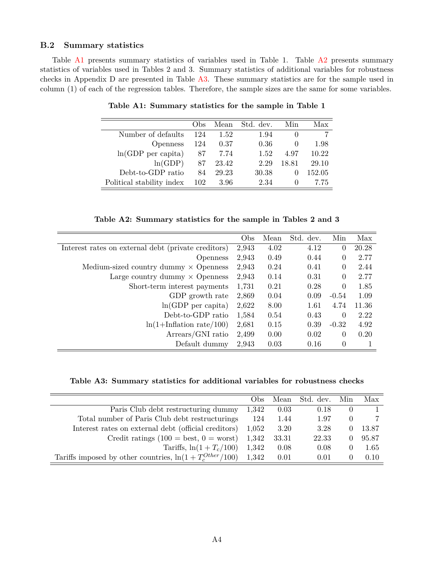# **B.2 Summary statistics**

Table A1 presents summary statistics of variables used in Table 1. Table A2 presents summary statistics of variables used in Tables 2 and 3. Summary statistics of additional variables for robustness checks in Appendix D are presented in Table A3. These summary statistics are for the sample used in column (1) of each of the regression tables. Therefore, the sample sizes are the same for some variables.

|                           | $_{\rm Obs}$ | Mean  | Std. dev. | Min              | Max    |
|---------------------------|--------------|-------|-----------|------------------|--------|
| Number of defaults        | 124          | 1.52  | 1.94      |                  |        |
| <i>Openness</i>           | 124          | 0.37  | 0.36      |                  | 1.98   |
| $ln(GDP$ per capita)      | 87           | 7.74  | 1.52      | 4.97             | 10.22  |
| ln(GDP)                   | 87           | 23.42 | 2.29      | 18.81            | 29.10  |
| Debt-to-GDP ratio         | 84           | 29.23 | 30.38     | $\theta$         | 152.05 |
| Political stability index | 102          | 3.96  | 2.34      | $\left( \right)$ | 7.75   |

**Table A1: Summary statistics for the sample in Table 1**

**Table A2: Summary statistics for the sample in Tables 2 and 3**

|                                                     | Obs   | Mean | Std. dev. | Min      | Max   |
|-----------------------------------------------------|-------|------|-----------|----------|-------|
| Interest rates on external debt (private creditors) | 2,943 | 4.02 | 4.12      | $\theta$ | 20.28 |
| <i>Openness</i>                                     | 2,943 | 0.49 | 0.44      | $\Omega$ | 2.77  |
| Medium-sized country dummy $\times$ Openness        | 2,943 | 0.24 | 0.41      | $\Omega$ | 2.44  |
| Large country dummy $\times$ Openness               | 2,943 | 0.14 | 0.31      | $\Omega$ | 2.77  |
| Short-term interest payments                        | 1,731 | 0.21 | 0.28      | $\Omega$ | 1.85  |
| GDP growth rate                                     | 2,869 | 0.04 | 0.09      | $-0.54$  | 1.09  |
| $ln(GDP$ per capita)                                | 2,622 | 8.00 | 1.61      | 4.74     | 11.36 |
| Debt-to-GDP ratio                                   | 1,584 | 0.54 | 0.43      | $\theta$ | 2.22  |
| $ln(1+Inflation rate/100)$                          | 2,681 | 0.15 | 0.39      | $-0.32$  | 4.92  |
| Arrears/GNI ratio                                   | 2,499 | 0.00 | 0.02      | $\Omega$ | 0.20  |
| Default dummy                                       | 2,943 | 0.03 | 0.16      | $\theta$ |       |

| Table A3: Summary statistics for additional variables for robustness checks |  |  |  |
|-----------------------------------------------------------------------------|--|--|--|
|-----------------------------------------------------------------------------|--|--|--|

|                                                                | $_{\rm Obs}$ | Mean  | Std. dev. | Min      | Max   |
|----------------------------------------------------------------|--------------|-------|-----------|----------|-------|
| Paris Club debt restructuring dummy                            | 1.342        | 0.03  | 0.18      | U        |       |
| Total number of Paris Club debt restructurings                 | 124          | 1.44  | 1.97      | $\theta$ |       |
| Interest rates on external debt (official creditors)           | 1,052        | 3.20  | 3.28      |          | 13.87 |
| Credit ratings $(100 = best, 0 = worst)$                       | 1,342        | 33.31 | 22.33     |          | 95.87 |
| Tariffs, $ln(1+T_c/100)$                                       | 1,342        | 0.08  | 0.08      | $^{(1)}$ | 1.65  |
| Tariffs imposed by other countries, $\ln(1 + T_c^{Other}/100)$ | 1,342        | 0.01  | 0.01      |          | 0.10  |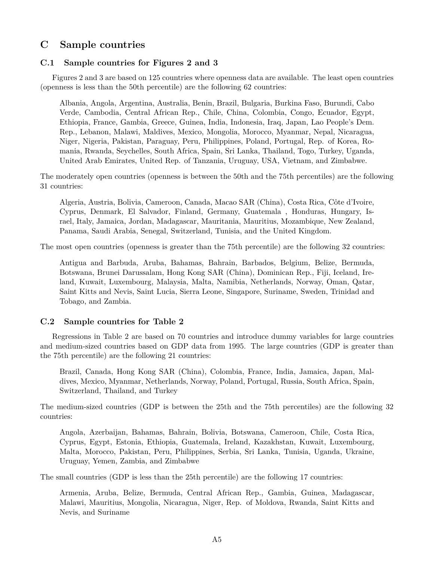# **C Sample countries**

# **C.1 Sample countries for Figures 2 and 3**

Figures 2 and 3 are based on 125 countries where openness data are available. The least open countries (openness is less than the 50th percentile) are the following 62 countries:

Albania, Angola, Argentina, Australia, Benin, Brazil, Bulgaria, Burkina Faso, Burundi, Cabo Verde, Cambodia, Central African Rep., Chile, China, Colombia, Congo, Ecuador, Egypt, Ethiopia, France, Gambia, Greece, Guinea, India, Indonesia, Iraq, Japan, Lao People's Dem. Rep., Lebanon, Malawi, Maldives, Mexico, Mongolia, Morocco, Myanmar, Nepal, Nicaragua, Niger, Nigeria, Pakistan, Paraguay, Peru, Philippines, Poland, Portugal, Rep. of Korea, Romania, Rwanda, Seychelles, South Africa, Spain, Sri Lanka, Thailand, Togo, Turkey, Uganda, United Arab Emirates, United Rep. of Tanzania, Uruguay, USA, Vietnam, and Zimbabwe.

The moderately open countries (openness is between the 50th and the 75th percentiles) are the following 31 countries:

Algeria, Austria, Bolivia, Cameroon, Canada, Macao SAR (China), Costa Rica, Côte d'Ivoire, Cyprus, Denmark, El Salvador, Finland, Germany, Guatemala , Honduras, Hungary, Israel, Italy, Jamaica, Jordan, Madagascar, Mauritania, Mauritius, Mozambique, New Zealand, Panama, Saudi Arabia, Senegal, Switzerland, Tunisia, and the United Kingdom.

The most open countries (openness is greater than the 75th percentile) are the following 32 countries:

Antigua and Barbuda, Aruba, Bahamas, Bahrain, Barbados, Belgium, Belize, Bermuda, Botswana, Brunei Darussalam, Hong Kong SAR (China), Dominican Rep., Fiji, Iceland, Ireland, Kuwait, Luxembourg, Malaysia, Malta, Namibia, Netherlands, Norway, Oman, Qatar, Saint Kitts and Nevis, Saint Lucia, Sierra Leone, Singapore, Suriname, Sweden, Trinidad and Tobago, and Zambia.

# **C.2 Sample countries for Table 2**

Regressions in Table 2 are based on 70 countries and introduce dummy variables for large countries and medium-sized countries based on GDP data from 1995. The large countries (GDP is greater than the 75th percentile) are the following 21 countries:

Brazil, Canada, Hong Kong SAR (China), Colombia, France, India, Jamaica, Japan, Maldives, Mexico, Myanmar, Netherlands, Norway, Poland, Portugal, Russia, South Africa, Spain, Switzerland, Thailand, and Turkey

The medium-sized countries (GDP is between the 25th and the 75th percentiles) are the following 32 countries:

Angola, Azerbaijan, Bahamas, Bahrain, Bolivia, Botswana, Cameroon, Chile, Costa Rica, Cyprus, Egypt, Estonia, Ethiopia, Guatemala, Ireland, Kazakhstan, Kuwait, Luxembourg, Malta, Morocco, Pakistan, Peru, Philippines, Serbia, Sri Lanka, Tunisia, Uganda, Ukraine, Uruguay, Yemen, Zambia, and Zimbabwe

The small countries (GDP is less than the 25th percentile) are the following 17 countries:

Armenia, Aruba, Belize, Bermuda, Central African Rep., Gambia, Guinea, Madagascar, Malawi, Mauritius, Mongolia, Nicaragua, Niger, Rep. of Moldova, Rwanda, Saint Kitts and Nevis, and Suriname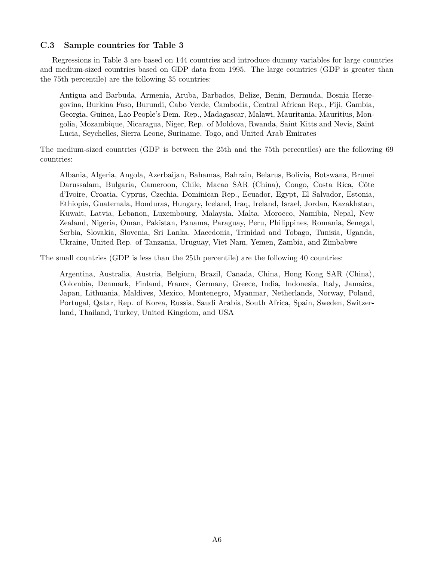# **C.3 Sample countries for Table 3**

Regressions in Table 3 are based on 144 countries and introduce dummy variables for large countries and medium-sized countries based on GDP data from 1995. The large countries (GDP is greater than the 75th percentile) are the following 35 countries:

Antigua and Barbuda, Armenia, Aruba, Barbados, Belize, Benin, Bermuda, Bosnia Herzegovina, Burkina Faso, Burundi, Cabo Verde, Cambodia, Central African Rep., Fiji, Gambia, Georgia, Guinea, Lao People's Dem. Rep., Madagascar, Malawi, Mauritania, Mauritius, Mongolia, Mozambique, Nicaragua, Niger, Rep. of Moldova, Rwanda, Saint Kitts and Nevis, Saint Lucia, Seychelles, Sierra Leone, Suriname, Togo, and United Arab Emirates

The medium-sized countries (GDP is between the 25th and the 75th percentiles) are the following 69 countries:

Albania, Algeria, Angola, Azerbaijan, Bahamas, Bahrain, Belarus, Bolivia, Botswana, Brunei Darussalam, Bulgaria, Cameroon, Chile, Macao SAR (China), Congo, Costa Rica, Côte d'Ivoire, Croatia, Cyprus, Czechia, Dominican Rep., Ecuador, Egypt, El Salvador, Estonia, Ethiopia, Guatemala, Honduras, Hungary, Iceland, Iraq, Ireland, Israel, Jordan, Kazakhstan, Kuwait, Latvia, Lebanon, Luxembourg, Malaysia, Malta, Morocco, Namibia, Nepal, New Zealand, Nigeria, Oman, Pakistan, Panama, Paraguay, Peru, Philippines, Romania, Senegal, Serbia, Slovakia, Slovenia, Sri Lanka, Macedonia, Trinidad and Tobago, Tunisia, Uganda, Ukraine, United Rep. of Tanzania, Uruguay, Viet Nam, Yemen, Zambia, and Zimbabwe

The small countries (GDP is less than the 25th percentile) are the following 40 countries:

Argentina, Australia, Austria, Belgium, Brazil, Canada, China, Hong Kong SAR (China), Colombia, Denmark, Finland, France, Germany, Greece, India, Indonesia, Italy, Jamaica, Japan, Lithuania, Maldives, Mexico, Montenegro, Myanmar, Netherlands, Norway, Poland, Portugal, Qatar, Rep. of Korea, Russia, Saudi Arabia, South Africa, Spain, Sweden, Switzerland, Thailand, Turkey, United Kingdom, and USA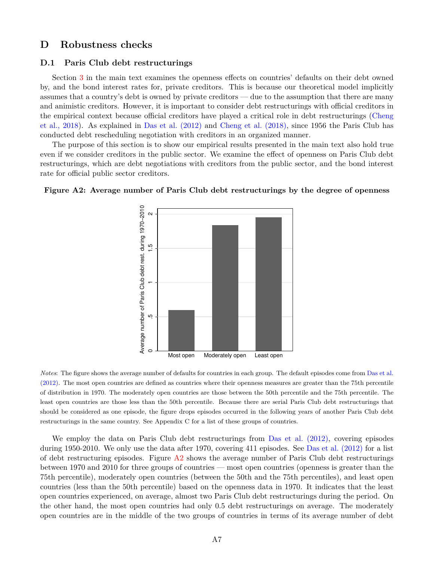# **D Robustness checks**

## **D.1 Paris Club debt restructurings**

Section 3 in the main text examines the openness effects on countries' defaults on their debt owned by, and the bond interest rates for, private creditors. This is because our theoretical model implicitly assumes that a country's debt is owned by private creditors — due to the assumption that there are many and animistic creditors. However, it is important to consider debt restructurings with official creditors in the empirical context because official creditors have played a critical role in debt restructurings (Cheng et al., 2018). As explained in Das et al. (2012) and Cheng et al. (2018), since 1956 the Paris Club has conducted debt rescheduling negotiation with creditors in an organized manner.

The purpose of this section is to show our empirical results presented in the main text also hold true even if we consider creditors in the public sector. We examine the effect of openness on Paris Club debt restructurings, which are debt negotiations with creditors from the public sector, and the bond interest rate for official public sector creditors.





*Notes*: The figure shows the average number of defaults for countries in each group. The default episodes come from Das et al. (2012). The most open countries are defined as countries where their openness measures are greater than the 75th percentile of distribution in 1970. The moderately open countries are those between the 50th percentile and the 75th percentile. The least open countries are those less than the 50th percentile. Because there are serial Paris Club debt restructurings that should be considered as one episode, the figure drops episodes occurred in the following years of another Paris Club debt restructurings in the same country. See Appendix C for a list of these groups of countries.

We employ the data on Paris Club debt restructurings from Das et al. (2012), covering episodes during 1950-2010. We only use the data after 1970, covering 411 episodes. See Das et al. (2012) for a list of debt restructuring episodes. Figure  $A2$  shows the average number of Paris Club debt restructurings between 1970 and 2010 for three groups of countries — most open countries (openness is greater than the 75th percentile), moderately open countries (between the 50th and the 75th percentiles), and least open countries (less than the 50th percentile) based on the openness data in 1970. It indicates that the least open countries experienced, on average, almost two Paris Club debt restructurings during the period. On the other hand, the most open countries had only 0.5 debt restructurings on average. The moderately open countries are in the middle of the two groups of countries in terms of its average number of debt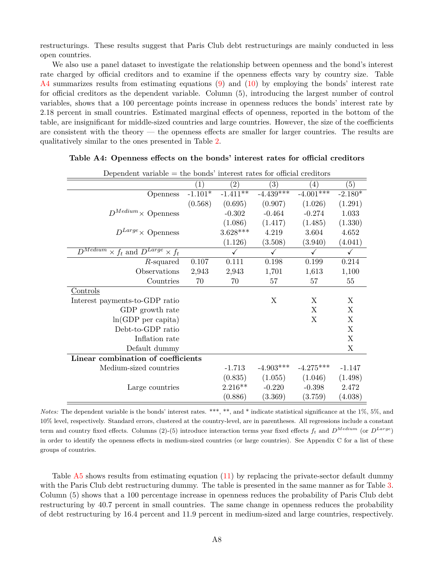restructurings. These results suggest that Paris Club debt restructurings are mainly conducted in less open countries.

We also use a panel dataset to investigate the relationship between openness and the bond's interest rate charged by official creditors and to examine if the openness effects vary by country size. Table A4 summarizes results from estimating equations (9) and (10) by employing the bonds' interest rate for official creditors as the dependent variable. Column (5), introducing the largest number of control variables, shows that a 100 percentage points increase in openness reduces the bonds' interest rate by 2.18 percent in small countries. Estimated marginal effects of openness, reported in the bottom of the table, are insignificant for middle-sized countries and large countries. However, the size of the coefficients are consistent with the theory — the openness effects are smaller for larger countries. The results are qualitatively similar to the ones presented in Table 2.

| Dependent variable $=$ the bonds' interest rates for official creditors |           |                   |                   |                  |              |
|-------------------------------------------------------------------------|-----------|-------------------|-------------------|------------------|--------------|
|                                                                         | (1)       | $\left( 2\right)$ | $\left( 3\right)$ | $\left(4\right)$ | (5)          |
| Openness                                                                | $-1.101*$ | $-1.411***$       | $-4.439***$       | $-4.001***$      | $-2.180*$    |
|                                                                         | (0.568)   | (0.695)           | (0.907)           | (1.026)          | (1.291)      |
| $D^{Median}\times$ Openness                                             |           | $-0.302$          | $-0.464$          | $-0.274$         | 1.033        |
|                                                                         |           | (1.086)           | (1.417)           | (1.485)          | (1.330)      |
| $D^{Large} \times$ Openness                                             |           | $3.628***$        | 4.219             | 3.604            | 4.652        |
|                                                                         |           | (1.126)           | (3.508)           | (3.940)          | (4.041)      |
| $D^{Median} \times f_t$ and $D^{Large} \times f_t$                      |           | $\checkmark$      | ✓                 | $\checkmark$     | $\checkmark$ |
| $R$ -squared                                                            | 0.107     | 0.111             | 0.198             | 0.199            | 0.214        |
| Observations                                                            | 2,943     | 2,943             | 1,701             | 1,613            | 1,100        |
| Countries                                                               | 70        | 70                | 57                | 57               | 55           |
| Controls                                                                |           |                   |                   |                  |              |
| Interest payments-to-GDP ratio                                          |           |                   | X                 | X                | X            |
| GDP growth rate                                                         |           |                   |                   | X                | X            |
| $ln(GDP$ per capita)                                                    |           |                   |                   | X                | X            |
| Debt-to-GDP ratio                                                       |           |                   |                   |                  | X            |
| Inflation rate                                                          |           |                   |                   |                  | X            |
| Default dummy                                                           |           |                   |                   |                  | X            |
| Linear combination of coefficients                                      |           |                   |                   |                  |              |
| Medium-sized countries                                                  |           | $-1.713$          | $-4.903***$       | $-4.275***$      | $-1.147$     |
|                                                                         |           | (0.835)           | (1.055)           | (1.046)          | (1.498)      |
| Large countries                                                         |           | $2.216**$         | $-0.220$          | $-0.398$         | 2.472        |
|                                                                         |           | (0.886)           | (3.369)           | (3.759)          | (4.038)      |

**Table A4: Openness effects on the bonds' interest rates for official creditors**

*Notes:* The dependent variable is the bonds' interest rates. \*\*\*, \*\*, and \* indicate statistical significance at the 1%, 5%, and 10% level, respectively. Standard errors, clustered at the country-level, are in parentheses. All regressions include a constant term and country fixed effects. Columns (2)-(5) introduce interaction terms year fixed effects *f<sup>t</sup>* and *D Medium* (or *D Large*) in order to identify the openness effects in medium-sized countries (or large countries). See Appendix C for a list of these groups of countries.

Table A5 shows results from estimating equation (11) by replacing the private-sector default dummy with the Paris Club debt restructuring dummy. The table is presented in the same manner as for Table 3. Column (5) shows that a 100 percentage increase in openness reduces the probability of Paris Club debt restructuring by 40.7 percent in small countries. The same change in openness reduces the probability of debt restructuring by 16.4 percent and 11.9 percent in medium-sized and large countries, respectively.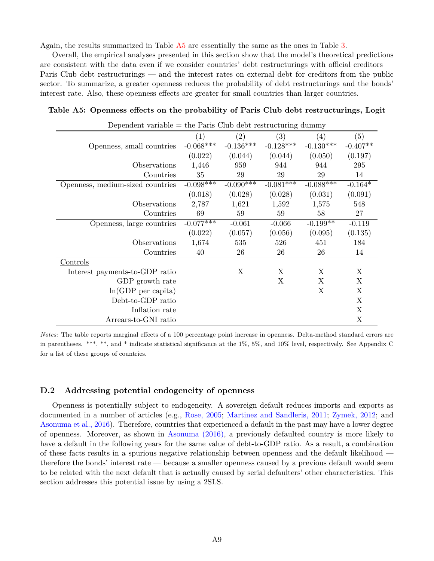Again, the results summarized in Table A5 are essentially the same as the ones in Table 3.

Overall, the empirical analyses presented in this section show that the model's theoretical predictions are consistent with the data even if we consider countries' debt restructurings with official creditors — Paris Club debt restructurings — and the interest rates on external debt for creditors from the public sector. To summarize, a greater openness reduces the probability of debt restructurings and the bonds' interest rate. Also, these openness effects are greater for small countries than larger countries.

| Dependent variable $=$ the Paris Club debt restructuring dummy |                  |                   |                   |                  |            |  |  |  |  |
|----------------------------------------------------------------|------------------|-------------------|-------------------|------------------|------------|--|--|--|--|
|                                                                | $\left(1\right)$ | $\left( 2\right)$ | $\left( 3\right)$ | $\left(4\right)$ | (5)        |  |  |  |  |
| Openness, small countries                                      | $-0.068***$      | $-0.136***$       | $-0.128***$       | $-0.130***$      | $-0.407**$ |  |  |  |  |
|                                                                | (0.022)          | (0.044)           | (0.044)           | (0.050)          | (0.197)    |  |  |  |  |
| Observations                                                   | 1,446            | 959               | 944               | 944              | 295        |  |  |  |  |
| Countries                                                      | 35               | 29                | 29                | 29               | 14         |  |  |  |  |
| Openness, medium-sized countries                               | $-0.098***$      | $-0.090***$       | $-0.081***$       | $-0.088***$      | $-0.164*$  |  |  |  |  |
|                                                                | (0.018)          | (0.028)           | (0.028)           | (0.031)          | (0.091)    |  |  |  |  |
| Observations                                                   | 2,787            | 1,621             | 1,592             | 1,575            | 548        |  |  |  |  |
| Countries                                                      | 69               | 59                | 59                | 58               | 27         |  |  |  |  |
| Openness, large countries                                      | $-0.077***$      | $-0.061$          | $-0.066$          | $-0.199**$       | $-0.119$   |  |  |  |  |
|                                                                | (0.022)          | (0.057)           | (0.056)           | (0.095)          | (0.135)    |  |  |  |  |
| Observations                                                   | 1,674            | 535               | 526               | 451              | 184        |  |  |  |  |
| Countries                                                      | 40               | 26                | 26                | 26               | 14         |  |  |  |  |
| Controls                                                       |                  |                   |                   |                  |            |  |  |  |  |
| Interest payments-to-GDP ratio                                 |                  | X                 | X                 | X                | X          |  |  |  |  |
| GDP growth rate                                                |                  |                   | X                 | X                | X          |  |  |  |  |
| $ln(GDP$ per capita)                                           |                  |                   |                   | X                | X          |  |  |  |  |
| Debt-to-GDP ratio                                              |                  |                   |                   |                  | X          |  |  |  |  |
| Inflation rate                                                 |                  |                   |                   |                  | X          |  |  |  |  |
| Arrears-to-GNI ratio                                           |                  |                   |                   |                  | X          |  |  |  |  |

*Notes:* The table reports marginal effects of a 100 percentage point increase in openness. Delta-method standard errors are in parentheses. \*\*\*, \*\*, and \* indicate statistical significance at the 1%, 5%, and 10% level, respectively. See Appendix C for a list of these groups of countries.

# **D.2 Addressing potential endogeneity of openness**

Openness is potentially subject to endogeneity. A sovereign default reduces imports and exports as documented in a number of articles (e.g., Rose, 2005; Martinez and Sandleris, 2011; Zymek, 2012; and Asonuma et al., 2016). Therefore, countries that experienced a default in the past may have a lower degree of openness. Moreover, as shown in Asonuma (2016), a previously defaulted country is more likely to have a default in the following years for the same value of debt-to-GDP ratio. As a result, a combination of these facts results in a spurious negative relationship between openness and the default likelihood therefore the bonds' interest rate — because a smaller openness caused by a previous default would seem to be related with the next default that is actually caused by serial defaulters' other characteristics. This section addresses this potential issue by using a 2SLS.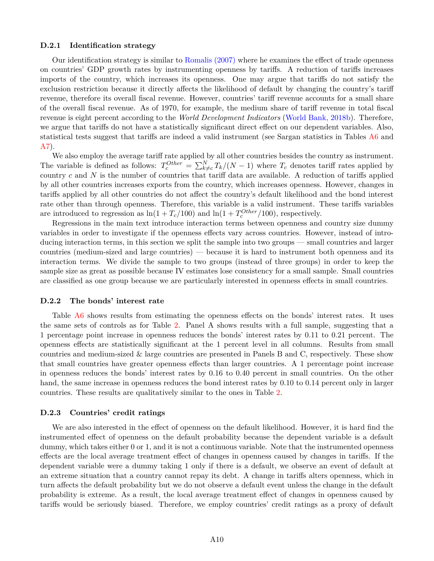#### **D.2.1 Identification strategy**

Our identification strategy is similar to Romalis (2007) where he examines the effect of trade openness on countries' GDP growth rates by instrumenting openness by tariffs. A reduction of tariffs increases imports of the country, which increases its openness. One may argue that tariffs do not satisfy the exclusion restriction because it directly affects the likelihood of default by changing the country's tariff revenue, therefore its overall fiscal revenue. However, countries' tariff revenue accounts for a small share of the overall fiscal revenue. As of 1970, for example, the medium share of tariff revenue in total fiscal revenue is eight percent according to the *World Development Indicators* (World Bank, 2018b). Therefore, we argue that tariffs do not have a statistically significant direct effect on our dependent variables. Also, statistical tests suggest that tariffs are indeed a valid instrument (see Sargan statistics in Tables A6 and A7).

We also employ the average tariff rate applied by all other countries besides the country as instrument. The variable is defined as follows:  $T_c^{Other} = \sum_{k \neq c}^{N} T_k/(N-1)$  where  $T_c$  denotes tariff rates applied by country *c* and *N* is the number of countries that tariff data are available. A reduction of tariffs applied by all other countries increases exports from the country, which increases openness. However, changes in tariffs applied by all other countries do not affect the country's default likelihood and the bond interest rate other than through openness. Therefore, this variable is a valid instrument. These tariffs variables are introduced to regression as  $\ln(1 + T_c/100)$  and  $\ln(1 + T_c^{Other}/100)$ , respectively.

Regressions in the main text introduce interaction terms between openness and country size dummy variables in order to investigate if the openness effects vary across countries. However, instead of introducing interaction terms, in this section we split the sample into two groups — small countries and larger countries (medium-sized and large countries) — because it is hard to instrument both openness and its interaction terms. We divide the sample to two groups (instead of three groups) in order to keep the sample size as great as possible because IV estimates lose consistency for a small sample. Small countries are classified as one group because we are particularly interested in openness effects in small countries.

#### **D.2.2 The bonds' interest rate**

Table A6 shows results from estimating the openness effects on the bonds' interest rates. It uses the same sets of controls as for Table 2. Panel A shows results with a full sample, suggesting that a 1 percentage point increase in openness reduces the bonds' interest rates by 0.11 to 0.21 percent. The openness effects are statistically significant at the 1 percent level in all columns. Results from small countries and medium-sized & large countries are presented in Panels B and C, respectively. These show that small countries have greater openness effects than larger countries. A 1 percentage point increase in openness reduces the bonds' interest rates by 0.16 to 0.40 percent in small countries. On the other hand, the same increase in openness reduces the bond interest rates by 0.10 to 0.14 percent only in larger countries. These results are qualitatively similar to the ones in Table 2.

## **D.2.3 Countries' credit ratings**

We are also interested in the effect of openness on the default likelihood. However, it is hard find the instrumented effect of openness on the default probability because the dependent variable is a default dummy, which takes either 0 or 1, and it is not a continuous variable. Note that the instrumented openness effects are the local average treatment effect of changes in openness caused by changes in tariffs. If the dependent variable were a dummy taking 1 only if there is a default, we observe an event of default at an extreme situation that a country cannot repay its debt. A change in tariffs alters openness, which in turn affects the default probability but we do not observe a default event unless the change in the default probability is extreme. As a result, the local average treatment effect of changes in openness caused by tariffs would be seriously biased. Therefore, we employ countries' credit ratings as a proxy of default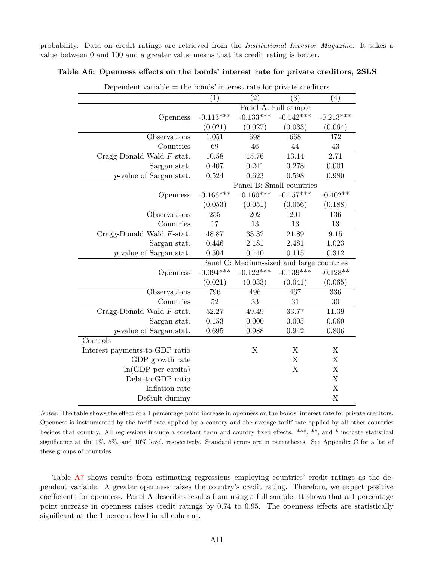probability. Data on credit ratings are retrieved from the *Institutional Investor Magazine*. It takes a value between 0 and 100 and a greater value means that its credit rating is better.

|                                    | (1)         | $\rm(2)$                                  | (3)                  | $\left( 4\right)$         |
|------------------------------------|-------------|-------------------------------------------|----------------------|---------------------------|
|                                    |             |                                           | Panel A: Full sample |                           |
| Openness                           | $-0.113***$ | $-0.133***$                               | $-0.142***$          | $-0.213***$               |
|                                    | (0.021)     | (0.027)                                   | (0.033)              | (0.064)                   |
| Observations                       | 1,051       | 698                                       | 668                  | 472                       |
| Countries                          | 69          | 46                                        | 44                   | 43                        |
| Cragg-Donald Wald F-stat.          | 10.58       | 15.76                                     | 13.14                | 2.71                      |
| Sargan stat.                       | 0.407       | 0.241                                     | 0.278                | 0.001                     |
| p-value of Sargan stat.            | 0.524       | 0.623                                     | 0.598                | 0.980                     |
|                                    |             | Panel B: Small countries                  |                      |                           |
| Openness                           | $-0.166***$ | $-0.160***$                               | $-0.157***$          | $-0.402**$                |
|                                    | (0.053)     | (0.051)                                   | (0.056)              | (0.188)                   |
| Observations                       | 255         | 202                                       | 201                  | 136                       |
| Countries                          | 17          | 13                                        | 13                   | 13                        |
| Cragg-Donald Wald $F\text{-stat.}$ | 48.87       | 33.32                                     | 21.89                | 9.15                      |
| Sargan stat.                       | 0.446       | 2.181                                     | 2.481                | 1.023                     |
| $p$ -value of Sargan stat.         | 0.504       | 0.140                                     | 0.115                | 0.312                     |
|                                    |             | Panel C: Medium-sized and large countries |                      |                           |
| Openness                           | $-0.094***$ | $-0.122***$                               | $-0.139***$          | $-0.128**$                |
|                                    | (0.021)     | (0.033)                                   | (0.041)              | (0.065)                   |
| Observations                       | 796         | 496                                       | 467                  | 336                       |
| Countries                          | 52          | 33                                        | 31                   | 30                        |
| Cragg-Donald Wald F-stat.          | 52.27       | 49.49                                     | 33.77                | 11.39                     |
| Sargan stat.                       | 0.153       | 0.000                                     | 0.005                | 0.060                     |
| p-value of Sargan stat.            | 0.695       | 0.988                                     | 0.942                | 0.806                     |
| Controls                           |             |                                           |                      |                           |
| Interest payments-to-GDP ratio     |             | X                                         | X                    | X                         |
| GDP growth rate                    |             |                                           | X                    | X                         |
| $ln(GDP$ per capita)               |             |                                           | X                    | $\boldsymbol{\mathrm{X}}$ |
| Debt-to-GDP ratio                  |             |                                           |                      | X                         |
| Inflation rate                     |             |                                           |                      | $\mathbf X$               |
| Default dummy                      |             |                                           |                      | X                         |

**Table A6: Openness effects on the bonds' interest rate for private creditors, 2SLS**

*Notes:* The table shows the effect of a 1 percentage point increase in openness on the bonds' interest rate for private creditors. Openness is instrumented by the tariff rate applied by a country and the average tariff rate applied by all other countries besides that country. All regressions include a constant term and country fixed effects. \*\*\*, \*\*, and \* indicate statistical significance at the 1%, 5%, and 10% level, respectively. Standard errors are in parentheses. See Appendix C for a list of these groups of countries.

Dependent variable  $=$  the bonds' interest rate for private creditors

Table A7 shows results from estimating regressions employing countries' credit ratings as the dependent variable. A greater openness raises the country's credit rating. Therefore, we expect positive coefficients for openness. Panel A describes results from using a full sample. It shows that a 1 percentage point increase in openness raises credit ratings by 0.74 to 0.95. The openness effects are statistically significant at the 1 percent level in all columns.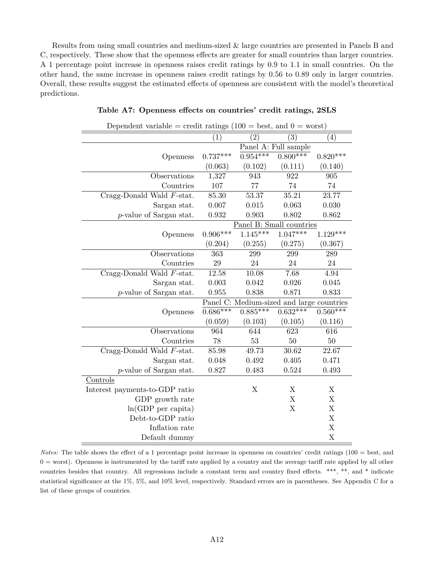Results from using small countries and medium-sized & large countries are presented in Panels B and C, respectively. These show that the openness effects are greater for small countries than larger countries. A 1 percentage point increase in openness raises credit ratings by 0.9 to 1.1 in small countries. On the other hand, the same increase in openness raises credit ratings by 0.56 to 0.89 only in larger countries. Overall, these results suggest the estimated effects of openness are consistent with the model's theoretical predictions.

| Dependent variable = credit ratings $(100 = \text{best}, \text{ and } 0 = \text{worst})$ |            |            |                                           |                           |
|------------------------------------------------------------------------------------------|------------|------------|-------------------------------------------|---------------------------|
|                                                                                          | (1)        | (2)        | (3)                                       | (4)                       |
|                                                                                          |            |            | Panel A: Full sample                      |                           |
| Openness                                                                                 | $0.737***$ | $0.954***$ | $0.800***$                                | $0.820***$                |
|                                                                                          | (0.063)    | (0.102)    | (0.111)                                   | (0.140)                   |
| Observations                                                                             | 1,327      | 943        | 922                                       | 905                       |
| Countries                                                                                | 107        | 77         | 74                                        | 74                        |
| Cragg-Donald Wald $F\text{-stat.}$                                                       | 85.30      | 53.37      | $35.\overline{21}$                        | 23.77                     |
| Sargan stat.                                                                             | 0.007      | 0.015      | 0.063                                     | 0.030                     |
| $p$ -value of Sargan stat.                                                               | 0.932      | 0.903      | 0.802                                     | 0.862                     |
|                                                                                          |            |            | Panel B: Small countries                  |                           |
| Openness                                                                                 | $0.906***$ | $1.145***$ | $1.047***$                                | $1.129***$                |
|                                                                                          | (0.204)    | (0.255)    | (0.275)                                   | (0.367)                   |
| Observations                                                                             | 363        | 299        | 299                                       | 289                       |
| Countries                                                                                | 29         | 24         | 24                                        | 24                        |
| Cragg-Donald Wald F-stat.                                                                | 12.58      | 10.08      | 7.68                                      | 4.94                      |
| Sargan stat.                                                                             | 0.003      | 0.042      | 0.026                                     | 0.045                     |
| p-value of Sargan stat.                                                                  | 0.955      | 0.838      | 0.871                                     | 0.833                     |
|                                                                                          |            |            | Panel C: Medium-sized and large countries |                           |
| Openness                                                                                 | $0.686***$ | $0.885***$ | $0.632***$                                | $0.560***$                |
|                                                                                          | (0.059)    | (0.103)    | (0.105)                                   | (0.116)                   |
| Observations                                                                             | 964        | 644        | 623                                       | 616                       |
| Countries                                                                                | 78         | 53         | 50                                        | $50\,$                    |
| Cragg-Donald Wald $F\text{-stat.}$                                                       | 85.98      | 49.73      | 30.62                                     | 22.67                     |
| Sargan stat.                                                                             | 0.048      | 0.492      | 0.405                                     | 0.471                     |
| p-value of Sargan stat.                                                                  | 0.827      | 0.483      | 0.524                                     | 0.493                     |
| Controls                                                                                 |            |            |                                           |                           |
| Interest payments-to-GDP ratio                                                           |            | X          | X                                         | X                         |
| GDP growth rate                                                                          |            |            | X                                         | $\boldsymbol{\mathrm{X}}$ |
| $ln(GDP$ per capita)                                                                     |            |            | X                                         | X                         |
| Debt-to-GDP ratio                                                                        |            |            |                                           | $\mathbf X$               |
| Inflation rate                                                                           |            |            |                                           | $\boldsymbol{\mathrm{X}}$ |
| Default dummy                                                                            |            |            |                                           | $\mathbf X$               |

## **Table A7: Openness effects on countries' credit ratings, 2SLS**

*Notes:* The table shows the effect of a 1 percentage point increase in openness on countries' credit ratings (100 = best, and  $0 =$  worst). Openness is instrumented by the tariff rate applied by a country and the average tariff rate applied by all other countries besides that country. All regressions include a constant term and country fixed effects. \*\*\*, \*\*, and \* indicate statistical significance at the 1%, 5%, and 10% level, respectively. Standard errors are in parentheses. See Appendix C for a list of these groups of countries.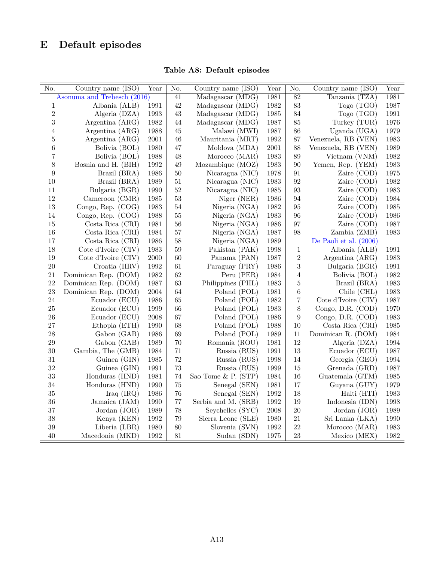# **E Default episodes**

| $\overline{\text{No}}$ .    | Country name (ISO)   | $\overline{\text{Year}}$ | No.              | Country name (ISO)  | Year            | $\overline{\text{No}}$ . | Country name (ISO)     | Year |
|-----------------------------|----------------------|--------------------------|------------------|---------------------|-----------------|--------------------------|------------------------|------|
| Asonuma and Trebesch (2016) |                      | $\overline{41}$          | Madagascar (MDG) | 1981                | $\overline{82}$ | Tanzania (TZA)           | 1981                   |      |
| $\,1$                       | Albania (ALB)        | 1991                     | 42               | Madagascar (MDG)    | 1982            | 83                       | Togo (TGO)             | 1987 |
| $\overline{2}$              | Algeria (DZA)        | 1993                     | 43               | Madagascar (MDG)    | 1985            | 84                       | Togo $(TGO)$           | 1991 |
| 3                           | Argentina (ARG)      | 1982                     | 44               | Madagascar (MDG)    | 1987            | 85                       | Turkey (TUR)           | 1976 |
| $\overline{4}$              | Argentina (ARG)      | 1988                     | $45\,$           | Malawi (MWI)        | 1987            | 86                       | Uganda (UGA)           | 1979 |
| $\bf 5$                     | Argentina (ARG)      | $2001\,$                 | 46               | Mauritania (MRT)    | 1992            | 87                       | Venezuela, RB (VEN)    | 1983 |
| 6                           | Bolivia (BOL)        | 1980                     | 47               | Moldova (MDA)       | 2001            | 88                       | Venezuela, RB (VEN)    | 1989 |
| 7                           | Bolivia (BOL)        | 1988                     | 48               | Morocco (MAR)       | 1983            | 89                       | Vietnam (VNM)          | 1982 |
| 8                           | Bosnia and H. (BIH)  | 1992                     | 49               | Mozambique (MOZ)    | 1983            | 90                       | Yemen, Rep. (YEM)      | 1983 |
| 9                           | Brazil (BRA)         | 1986                     | 50               | Nicaragua (NIC)     | 1978            | 91                       | Zaire (COD)            | 1975 |
| $10\,$                      | Brazil (BRA)         | 1989                     | $51\,$           | Nicaragua (NIC)     | 1983            | 92                       | Zaire (COD)            | 1982 |
| 11                          | Bulgaria (BGR)       | 1990                     | 52               | Nicaragua (NIC)     | 1985            | $\boldsymbol{93}$        | Zaire (COD)            | 1983 |
| 12                          | Cameroon (CMR)       | 1985                     | 53               | Niger (NER)         | 1986            | 94                       | Zaire (COD)            | 1984 |
| $13\,$                      | Congo, Rep. (COG)    | 1983                     | 54               | Nigeria (NGA)       | 1982            | $\rm 95$                 | Zaire (COD)            | 1985 |
| 14                          | Congo, Rep. (COG)    | 1988                     | $55\,$           | Nigeria (NGA)       | 1983            | 96                       | Zaire (COD)            | 1986 |
| $15\,$                      | Costa Rica (CRI)     | $1981\,$                 | 56               | Nigeria (NGA)       | 1986            | 97                       | Zaire (COD)            | 1987 |
| 16                          | Costa Rica (CRI)     | 1984                     | 57               | Nigeria (NGA)       | 1987            | $98\,$                   | Zambia (ZMB)           | 1983 |
| 17                          | Costa Rica (CRI)     | 1986                     | $58\,$           | Nigeria (NGA)       | 1989            |                          | De Paoli et al. (2006) |      |
| 18                          | Cote d'Ivoire (CIV)  | 1983                     | $59\,$           | Pakistan (PAK)      | 1998            | $\mathbf{1}$             | Albania (ALB)          | 1991 |
| 19                          | Cote d'Ivoire (CIV)  | $2000\,$                 | 60               | Panama (PAN)        | 1987            | $\sqrt{2}$               | Argentina (ARG)        | 1983 |
| $20\,$                      | Croatia (HRV)        | 1992                     | $61\,$           | Paraguay (PRY)      | 1986            | $\sqrt{3}$               | Bulgaria (BGR)         | 1991 |
| 21                          | Dominican Rep. (DOM) | 1982                     | 62               | Peru (PER)          | 1984            | $\,4\,$                  | Bolivia (BOL)          | 1982 |
| 22                          | Dominican Rep. (DOM) | 1987                     | 63               | Philippines (PHL)   | 1983            | $\bf 5$                  | Brazil (BRA)           | 1983 |
| 23                          | Dominican Rep. (DOM) | 2004                     | 64               | Poland (POL)        | 1981            | $\,6$                    | Chile (CHL)            | 1983 |
| 24                          | Ecuador (ECU)        | 1986                     | 65               | Poland (POL)        | 1982            | $\overline{7}$           | Cote d'Ivoire (CIV)    | 1987 |
| $25\,$                      | Ecuador (ECU)        | 1999                     | 66               | Poland (POL)        | 1983            | $8\,$                    | Congo, D.R. (COD)      | 1970 |
| 26                          | Ecuador (ECU)        | 2008                     | 67               | Poland (POL)        | 1986            | $\boldsymbol{9}$         | Congo, D.R. (COD)      | 1983 |
| 27                          | Ethopia (ETH)        | 1990                     | 68               | Poland (POL)        | 1988            | $10\,$                   | Costa Rica (CRI)       | 1985 |
| 28                          | Gabon (GAB)          | 1986                     | 69               | Poland (POL)        | 1989            | 11                       | Dominican R. (DOM)     | 1984 |
| $\,29$                      | Gabon (GAB)          | 1989                     | 70               | Romania (ROU)       | 1981            | 12                       | Algeria (DZA)          | 1994 |
| $30\,$                      | Gambia, The (GMB)    | 1984                     | $71\,$           | Russia (RUS)        | 1991            | 13                       | Ecuador (ECU)          | 1987 |
| $31\,$                      | Guinea (GIN)         | 1985                     | 72               | Russia (RUS)        | 1998            | 14                       | Georgia (GEO)          | 1994 |
| 32                          | Guinea (GIN)         | $1991\,$                 | 73               | Russia (RUS)        | 1999            | 15                       | Grenada (GRD)          | 1987 |
| $33\,$                      | Honduras (HND)       | 1981                     | 74               | Sao Tome & P. (STP) | 1984            | 16                       | Guatemala (GTM)        | 1985 |
| 34                          | Honduras (HND)       | 1990                     | 75               | Senegal (SEN)       | 1981            | 17                       | Guyana (GUY)           | 1979 |
| 35                          | Iraq $(IRQ)$         | 1986                     | 76               | Senegal (SEN)       | 1992            | $18\,$                   | Haiti (HTI)            | 1983 |
| 36                          | Jamaica (JAM)        | 1990                     | $77\,$           | Serbia and M. (SRB) | 1992            | $19\,$                   | Indonesia (IDN)        | 1998 |
| 37                          | Jordan (JOR)         | 1989                     | 78               | Seychelles (SYC)    | 2008            | $20\,$                   | Jordan (JOR)           | 1989 |
| 38                          | Kenya (KEN)          | 1992                     | 79               | Sierra Leone (SLE)  | 1980            | 21                       | Sri Lanka (LKA)        | 1990 |
| 39                          | Liberia (LBR)        | 1980                     | 80               | Slovenia (SVN)      | 1992            | 22                       | Morocco (MAR)          | 1983 |
| 40                          | Macedonia (MKD)      | 1992                     | $81\,$           | Sudan (SDN)         | 1975            | 23                       | Mexico (MEX)           | 1982 |

**Table A8: Default episodes**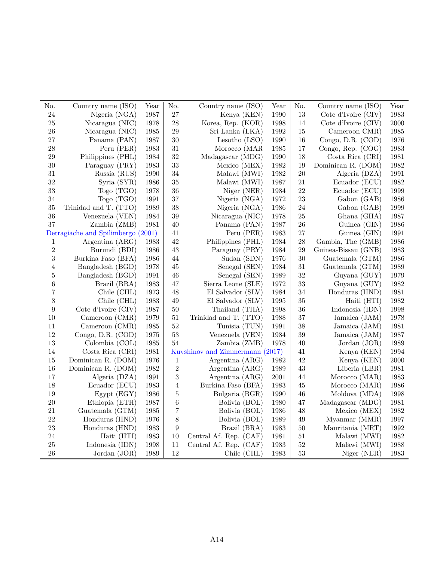| $\overline{\text{No}}$ . | Country name $(ISO)$               | Year | $\overline{\text{No}}$ . | Country name $(\overline{\text{ISO}})$ | Year     | $\overline{\text{No}}$ . | Country name (ISO)  | Year     |
|--------------------------|------------------------------------|------|--------------------------|----------------------------------------|----------|--------------------------|---------------------|----------|
| $\overline{24}$          | Nigeria (NGA)                      | 1987 | $\overline{27}$          | Kenya (KEN)                            | 1990     | $\overline{13}$          | Cote d'Ivoire (CIV) | 1983     |
| $25\,$                   | Nicaragua (NIC)                    | 1978 | 28                       | Korea, Rep. (KOR)                      | 1998     | 14                       | Cote d'Ivoire (CIV) | $2000\,$ |
| $26\,$                   | Nicaragua (NIC)                    | 1985 | 29                       | Sri Lanka (LKA)                        | 1992     | $15\,$                   | Cameroon CMR)       | 1985     |
| 27                       | Panama (PAN)                       | 1987 | 30                       | Lesotho $(LSO)$                        | 1990     | 16                       | Congo, D.R. (COD)   | 1976     |
| $\sqrt{28}$              | Peru (PER)                         | 1983 | $31\,$                   | Morocco (MAR                           | 1985     | 17                       | Congo, Rep. (COG)   | 1983     |
| $\,29$                   | Philippines (PHL)                  | 1984 | $32\,$                   | Madagascar (MDG)                       | 1990     | 18                       | Costa Rica (CRI)    | 1981     |
| $30\,$                   | Paraguay (PRY)                     | 1983 | 33                       | Mexico (MEX)                           | 1982     | 19                       | Dominican R. (DOM)  | 1982     |
| 31                       | Russia (RUS)                       | 1990 | $34\,$                   | Malawi (MWI)                           | 1982     | 20                       | Algeria (DZA)       | 1991     |
| 32                       | Syria (SYR)                        | 1986 | 35                       | Malawi (MWI)                           | 1987     | 21                       | Ecuador (ECU)       | 1982     |
| 33                       | Togo(TGO)                          | 1978 | 36                       | Niger (NER)                            | 1984     | 22                       | Ecuador (ECU)       | 1999     |
| $34\,$                   | Togo (TGO)                         | 1991 | 37                       | Nigeria (NGA)                          | 1972     | 23                       | Gabon (GAB)         | 1986     |
| $35\,$                   | Trinidad and T. (TTO)              | 1989 | 38                       | Nigeria (NGA)                          | 1986     | 24                       | Gabon (GAB)         | 1999     |
| $36\,$                   | Venezuela (VEN)                    | 1984 | $39\,$                   | Nicaragua (NIC)                        | 1978     | 25                       | Ghana (GHA)         | 1987     |
| 37                       | Zambia (ZMB)                       | 1981 | $40\,$                   | Panama (PAN)                           | 1987     | ${\bf 26}$               | Guinea (GIN)        | 1986     |
|                          | Detragiache and Spilimbergo (2001) |      | $41\,$                   | Peru (PER)                             | 1983     | 27                       | Guinea (GIN)        | 1991     |
| 1                        | Argentina (ARG)                    | 1983 | $42\,$                   | Philippines (PHL)                      | 1984     | 28                       | Gambia, The (GMB)   | 1986     |
| $\,2$                    | Burundi (BDI)                      | 1986 | $43\,$                   | Paraguay (PRY)                         | 1984     | 29                       | Guinea-Bissau (GNB) | 1983     |
| $\sqrt{3}$               | Burkina Faso (BFA)                 | 1986 | $44\,$                   | Sudan (SDN)                            | 1976     | 30                       | Guatemala (GTM)     | 1986     |
| 4                        | Bangladesh (BGD)                   | 1978 | $45\,$                   | Senegal (SEN)                          | 1984     | 31                       | Guatemala (GTM)     | 1989     |
| $\overline{5}$           | Bangladesh (BGD)                   | 1991 | $46\,$                   | Senegal (SEN)                          | 1989     | 32                       | Guyana (GUY)        | 1979     |
| 6                        | Brazil (BRA)                       | 1983 | 47                       | Sierra Leone (SLE)                     | 1972     | 33                       | Guyana (GUY)        | 1982     |
| $\overline{7}$           | Chile (CHL)                        | 1973 | $48\,$                   | El Salvador (SLV)                      | 1984     | 34                       | Honduras (HND)      | 1981     |
| $8\,$                    | Chile (CHL)                        | 1983 | $49\,$                   | El Salvador (SLV)                      | 1995     | $35\,$                   | Haiti (HTI)         | 1982     |
| $\boldsymbol{9}$         | Cote d'Ivoire (CIV)                | 1987 | $50\,$                   | Thailand (THA)                         | 1998     | 36                       | Indonesia (IDN)     | 1998     |
| 10                       | Cameroon (CMR)                     | 1979 | $51\,$                   | Trinidad and T. (TTO)                  | 1988     | 37                       | Jamaica (JAM)       | 1978     |
| 11                       | Cameroon (CMR)                     | 1985 | $52\,$                   | Tunisia (TUN)                          | 1991     | 38                       | Jamaica (JAM)       | 1981     |
| $12\,$                   | Congo, D.R. (COD)                  | 1975 | $53\,$                   | Venezuela (VEN)                        | 1984     | 39                       | Jamaica (JAM)       | 1987     |
| 13                       | Colombia (COL)                     | 1985 | 54                       | Zambia (ZMB)                           | 1978     | 40                       | Jordan (JOR)        | 1989     |
| $14\,$                   | Costa Rica (CRI)                   | 1981 |                          | Kuvshinov and Zimmermann (2017)        |          | $41\,$                   | Kenya (KEN)         | 1994     |
| $15\,$                   | Dominican R. (DOM)                 | 1976 | $\mathbf 1$              | Argentina (ARG)                        | 1982     | 42                       | Kenya (KEN)         | $2000\,$ |
| $16\,$                   | Dominican R. (DOM)                 | 1982 | $\,2$                    | Argentina (ARG)                        | 1989     | 43                       | Liberia (LBR)       | 1981     |
| $17\,$                   | Algeria (DZA)                      | 1991 | $\sqrt{3}$               | Argentina (ARG)                        | $2001\,$ | 44                       | Morocco (MAR)       | 1983     |
| $18\,$                   | Ecuador (ECU)                      | 1983 | $\overline{4}$           | Burkina Faso (BFA)                     | 1983     | $45\,$                   | Morocco (MAR)       | 1986     |
| 19                       | Egypt (EGY)                        | 1986 | $\bf 5$                  | Bulgaria (BGR)                         | 1990     | 46                       | Moldova (MDA)       | 1998     |
| $20\,$                   | Ethiopia (ETH)                     | 1987 | $\,6$                    | Bolivia (BOL)                          | 1980     | 47                       | Madagascar (MDG)    | 1981     |
| 21                       | Guatemala (GTM)                    | 1985 | $\overline{7}$           | Bolivia (BOL)                          | 1986     | 48                       | Mexico (MEX)        | 1982     |
| 22                       | Honduras (HND)                     | 1976 | 8                        | Bolivia (BOL)                          | 1989     | 49                       | Myanmar (MMR)       | 1997     |
| $23\,$                   | Honduras (HND)                     | 1983 | 9                        | Brazil (BRA)                           | 1983     | $50\,$                   | Mauritania (MRT)    | 1992     |
| 24                       | Haiti (HTI)                        | 1983 | $10\,$                   | Central Af. Rep. (CAF)                 | 1981     | $51\,$                   | Malawi (MWI)        | 1982     |
| $25\,$                   | Indonesia (IDN)                    | 1998 | 11                       | Central Af. Rep. (CAF)                 | 1983     | $52\,$                   | Malawi (MWI)        | 1988     |
| 26                       | Jordan (JOR)                       | 1989 | 12                       | Chile (CHL)                            | 1983     | 53                       | Niger (NER)         | 1983     |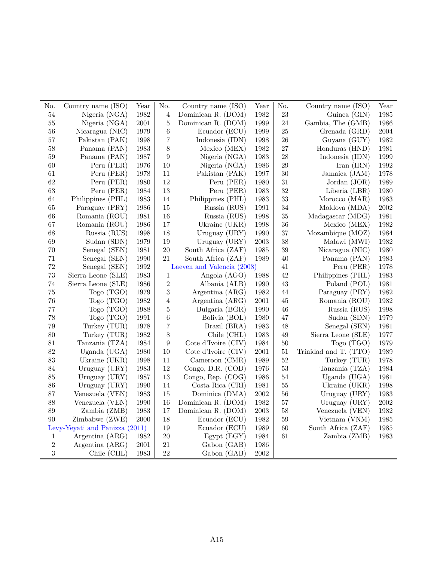| No.              | Country name $(\overline{\text{ISO}})$ | Year     | No.              | Country name $(\overline{\mathrm{ISO}})$ | Year       | No.             | Country name $(\overline{\mathrm{ISO}})$ | Year       |
|------------------|----------------------------------------|----------|------------------|------------------------------------------|------------|-----------------|------------------------------------------|------------|
| $\overline{54}$  | Nigeria (NGA)                          | 1982     | $\overline{4}$   | Dominican R. (DOM)                       | 1982       | $\overline{23}$ | Guinea $(GIN)$                           | 1985       |
| $55\,$           | Nigeria (NGA)                          | $2001\,$ | $\bf 5$          | Dominican R. (DOM)                       | 1999       | 24              | Gambia, The (GMB)                        | 1986       |
| $56\,$           | Nicaragua (NIC)                        | 1979     | $\,6\,$          | Ecuador (ECU)                            | 1999       | 25              | Grenada (GRD)                            | 2004       |
| $57\,$           | Pakistan (PAK)                         | 1998     | $\overline{7}$   | Indonesia (IDN)                          | 1998       | 26              | Guyana (GUY)                             | 1982       |
| $58\,$           | Panama (PAN)                           | 1983     | $8\,$            | Mexico (MEX)                             | 1982       | 27              | Honduras (HND)                           | 1981       |
| $59\,$           | Panama (PAN)                           | 1987     | $\boldsymbol{9}$ | Nigeria (NGA)                            | 1983       | 28              | Indonesia (IDN)                          | 1999       |
| 60               | Peru (PER)                             | 1976     | 10               | Nigeria (NGA)                            | 1986       | 29              | Iran $(IRN)$                             | 1992       |
| 61               | Peru (PER)                             | 1978     | $11\,$           | Pakistan (PAK)                           | 1997       | $30\,$          | Jamaica (JAM)                            | 1978       |
| 62               | Peru (PER)                             | 1980     | 12               | Peru (PER)                               | 1980       | $31\,$          | Jordan (JOR)                             | 1989       |
| 63               | Peru (PER)                             | 1984     | $13\,$           | Peru (PER)                               | 1983       | 32              | Liberia (LBR)                            | 1980       |
| $64\,$           | Philippines (PHL)                      | 1983     | $14\,$           | Philippines (PHL)                        | 1983       | $33\,$          | Morocco (MAR)                            | 1983       |
| 65               | Paraguay (PRY)                         | 1986     | 15               | Russia (RUS)                             | 1991       | $34\,$          | Moldova (MDA)                            | $\,2002\,$ |
| 66               | Romania (ROU)                          | 1981     | $16\,$           | Russia (RUS)                             | 1998       | $35\,$          | Madagascar (MDG)                         | 1981       |
| 67               | Romania (ROU)                          | 1986     | 17               | Ukraine (UKR)                            | 1998       | 36              | Mexico (MEX)                             | 1982       |
| 68               | Russia (RUS)                           | 1998     | $18\,$           | Uruguay (URY)                            | 1990       | 37              | Mozambique (MOZ)                         | 1984       |
| 69               | Sudan (SDN)                            | 1979     | 19               | Uruguay (URY)                            | $\,2003\,$ | 38              | Malawi (MWI)                             | 1982       |
| 70               | Senegal (SEN)                          | 1981     | $20\,$           | South Africa (ZAF)                       | 1985       | 39              | Nicaragua (NIC)                          | 1980       |
| $71\,$           | Senegal (SEN)                          | 1990     | 21               | South Africa (ZAF)                       | 1989       | $40\,$          | Panama (PAN)                             | 1983       |
| 72               | Senegal (SEN)                          | 1992     |                  | Laeven and Valencia (2008)               |            | 41              | Peru (PER)                               | 1978       |
| 73               | Sierra Leone (SLE)                     | 1983     | $\mathbf{1}$     | Angola (AGO)                             | 1988       | 42              | Philippines (PHL)                        | 1983       |
| $74\,$           | Sierra Leone (SLE)                     | 1986     | $\sqrt{2}$       | Albania (ALB)                            | 1990       | $43\,$          | Poland (POL)                             | 1981       |
| $75\,$           | Togo (TGO)                             | 1979     | $\overline{3}$   | Argentina (ARG)                          | 1982       | $44\,$          | Paraguay (PRY)                           | 1982       |
| 76               | Togo (TGO)                             | 1982     | $\sqrt{4}$       | Argentina (ARG)                          | $2001\,$   | $45\,$          | Romania (ROU)                            | 1982       |
| $77\,$           | Togo (TGO)                             | 1988     | $\bf 5$          | Bulgaria (BGR)                           | 1990       | $46\,$          | Russia (RUS)                             | 1998       |
| $78\,$           | Togo (TGO)                             | 1991     | $\,6\,$          | Bolivia (BOL)                            | 1980       | 47              | Sudan (SDN)                              | 1979       |
| $79\,$           | Turkey (TUR)                           | 1978     | $\overline{7}$   | Brazil (BRA)                             | 1983       | 48              | Senegal (SEN)                            | 1981       |
| 80               | Turkey (TUR)                           | 1982     | $8\,$            | Chile (CHL)                              | 1983       | $49\,$          | Sierra Leone (SLE)                       | 1977       |
| $81\,$           | Tanzania (TZA)                         | 1984     | $\boldsymbol{9}$ | Cote d'Ivoire (CIV)                      | 1984       | $50\,$          | Togo $(TGO)$                             | 1979       |
| 82               | Uganda $(UGA)$                         | 1980     | 10               | Cote d'Ivoire (CIV)                      | 2001       | 51              | Trinidad and T. (TTO)                    | 1989       |
| 83               | Ukraine (UKR)                          | 1998     | $11\,$           | Cameroon (CMR)                           | 1989       | 52              | Turkey (TUR)                             | 1978       |
| 84               | Uruguay (URY)                          | 1983     | 12               | Congo, D.R. (COD)                        | 1976       | 53              | Tanzania (TZA)                           | 1984       |
| 85               | Uruguay (URY)                          | 1987     | $13\,$           | Congo, Rep. (COG)                        | 1986       | $54\,$          | Uganda $(UGA)$                           | 1981       |
| 86               | Uruguay (URY)                          | 1990     | 14               | Costa Rica (CRI)                         | 1981       | 55              | Ukraine (UKR)                            | 1998       |
| 87               | Venezuela (VEN)                        | 1983     | $15\,$           | Dominica (DMA)                           | 2002       | 56              | Uruguay (URY)                            | 1983       |
| 88               | Venezuela (VEN)                        | 1990     | $16\,$           | Dominican R. (DOM)                       | $1982\,$   | 57              | Uruguay (URY)                            | $2002\,$   |
| 89               | Zambia (ZMB)                           | 1983     | $17\,$           | Dominican R. (DOM)                       | $\,2003\,$ | 58              | Venezuela (VEN)                          | 1982       |
| 90               | Zimbabwe (ZWE)                         | 2000     | 18               | Ecuador (ECU)                            | 1982       | $59\,$          | Vietnam (VNM)                            | 1985       |
|                  | Levy-Yeyati and Panizza (2011)         |          | 19               | Ecuador (ECU)                            | 1989       | 60              | South Africa (ZAF)                       | 1985       |
| 1                | Argentina (ARG)                        | 1982     | $20\,$           | Egypt (EGY)                              | 1984       | 61              | Zambia (ZMB)                             | 1983       |
| $\boldsymbol{2}$ | Argentina (ARG)                        | 2001     | $21\,$           | Gabon (GAB)                              | 1986       |                 |                                          |            |
| $\sqrt{3}$       | Chile (CHL)                            | 1983     | 22               | Gabon (GAB)                              | 2002       |                 |                                          |            |